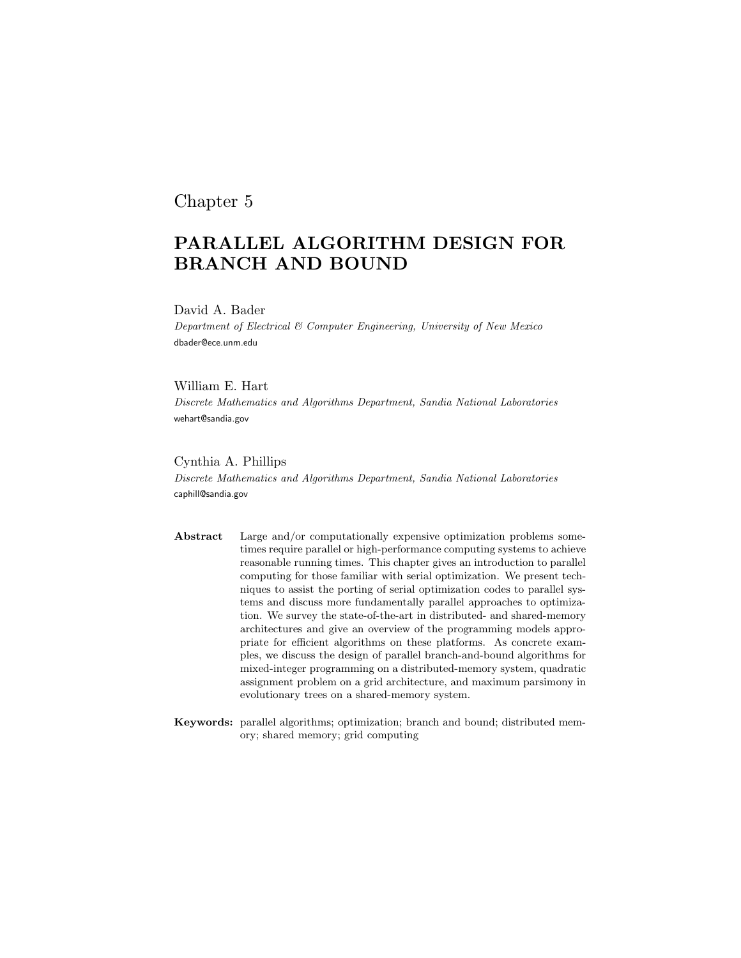# Chapter 5

# **PARALLEL ALGORITHM DESIGN FOR BRANCH AND BOUND**

David A. Bader

*Department of Electrical & Computer Engineering, University of New Mexico* dbader@ece.unm.edu

### William E. Hart

*Discrete Mathematics and Algorithms Department, Sandia National Laboratories* wehart@sandia.gov

#### Cynthia A. Phillips

*Discrete Mathematics and Algorithms Department, Sandia National Laboratories* caphill@sandia.gov

- **Abstract** Large and/or computationally expensive optimization problems sometimes require parallel or high-performance computing systems to achieve reasonable running times. This chapter gives an introduction to parallel computing for those familiar with serial optimization. We present techniques to assist the porting of serial optimization codes to parallel systems and discuss more fundamentally parallel approaches to optimization. We survey the state-of-the-art in distributed- and shared-memory architectures and give an overview of the programming models appropriate for efficient algorithms on these platforms. As concrete examples, we discuss the design of parallel branch-and-bound algorithms for mixed-integer programming on a distributed-memory system, quadratic assignment problem on a grid architecture, and maximum parsimony in evolutionary trees on a shared-memory system.
- **Keywords:** parallel algorithms; optimization; branch and bound; distributed memory; shared memory; grid computing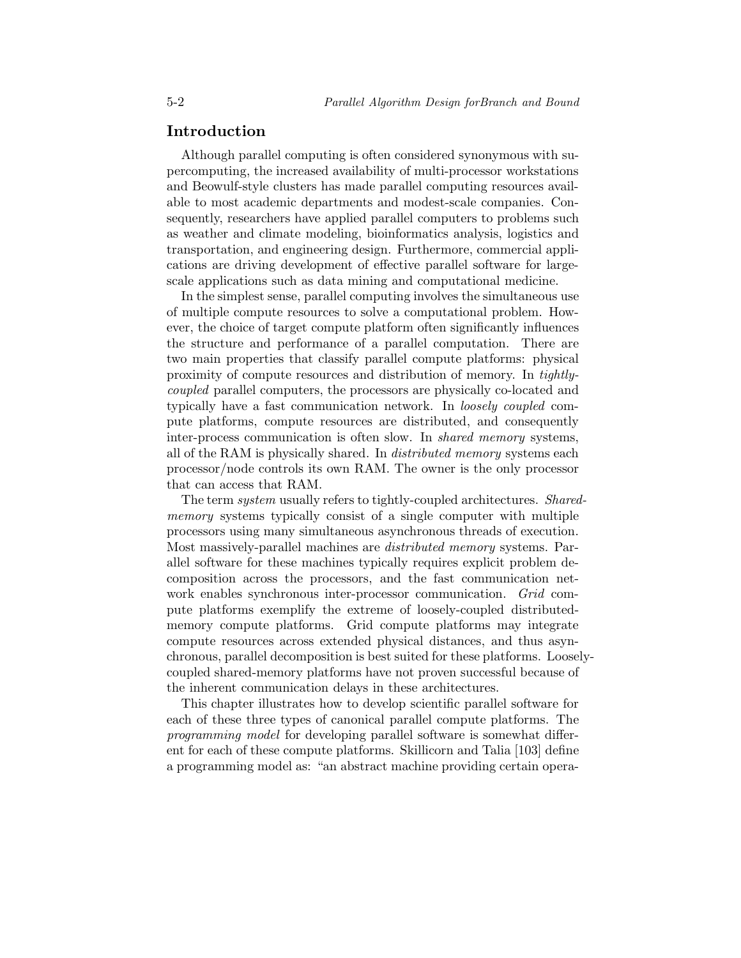## **Introduction**

Although parallel computing is often considered synonymous with supercomputing, the increased availability of multi-processor workstations and Beowulf-style clusters has made parallel computing resources available to most academic departments and modest-scale companies. Consequently, researchers have applied parallel computers to problems such as weather and climate modeling, bioinformatics analysis, logistics and transportation, and engineering design. Furthermore, commercial applications are driving development of effective parallel software for largescale applications such as data mining and computational medicine.

In the simplest sense, parallel computing involves the simultaneous use of multiple compute resources to solve a computational problem. However, the choice of target compute platform often significantly influences the structure and performance of a parallel computation. There are two main properties that classify parallel compute platforms: physical proximity of compute resources and distribution of memory. In *tightlycoupled* parallel computers, the processors are physically co-located and typically have a fast communication network. In *loosely coupled* compute platforms, compute resources are distributed, and consequently inter-process communication is often slow. In *shared memory* systems, all of the RAM is physically shared. In *distributed memory* systems each processor/node controls its own RAM. The owner is the only processor that can access that RAM.

The term *system* usually refers to tightly-coupled architectures. *Sharedmemory* systems typically consist of a single computer with multiple processors using many simultaneous asynchronous threads of execution. Most massively-parallel machines are *distributed memory* systems. Parallel software for these machines typically requires explicit problem decomposition across the processors, and the fast communication network enables synchronous inter-processor communication. *Grid* compute platforms exemplify the extreme of loosely-coupled distributedmemory compute platforms. Grid compute platforms may integrate compute resources across extended physical distances, and thus asynchronous, parallel decomposition is best suited for these platforms. Looselycoupled shared-memory platforms have not proven successful because of the inherent communication delays in these architectures.

This chapter illustrates how to develop scientific parallel software for each of these three types of canonical parallel compute platforms. The *programming model* for developing parallel software is somewhat different for each of these compute platforms. Skillicorn and Talia [103] define a programming model as: "an abstract machine providing certain opera-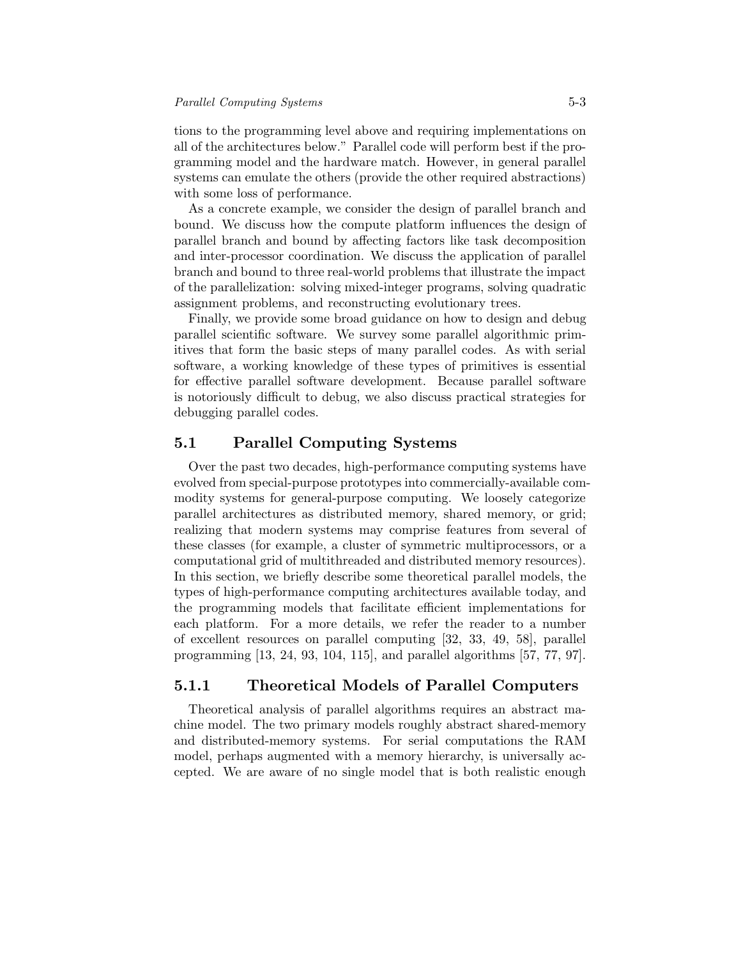tions to the programming level above and requiring implementations on all of the architectures below." Parallel code will perform best if the programming model and the hardware match. However, in general parallel systems can emulate the others (provide the other required abstractions) with some loss of performance.

As a concrete example, we consider the design of parallel branch and bound. We discuss how the compute platform influences the design of parallel branch and bound by affecting factors like task decomposition and inter-processor coordination. We discuss the application of parallel branch and bound to three real-world problems that illustrate the impact of the parallelization: solving mixed-integer programs, solving quadratic assignment problems, and reconstructing evolutionary trees.

Finally, we provide some broad guidance on how to design and debug parallel scientific software. We survey some parallel algorithmic primitives that form the basic steps of many parallel codes. As with serial software, a working knowledge of these types of primitives is essential for effective parallel software development. Because parallel software is notoriously difficult to debug, we also discuss practical strategies for debugging parallel codes.

## **5.1 Parallel Computing Systems**

Over the past two decades, high-performance computing systems have evolved from special-purpose prototypes into commercially-available commodity systems for general-purpose computing. We loosely categorize parallel architectures as distributed memory, shared memory, or grid; realizing that modern systems may comprise features from several of these classes (for example, a cluster of symmetric multiprocessors, or a computational grid of multithreaded and distributed memory resources). In this section, we briefly describe some theoretical parallel models, the types of high-performance computing architectures available today, and the programming models that facilitate efficient implementations for each platform. For a more details, we refer the reader to a number of excellent resources on parallel computing [32, 33, 49, 58], parallel programming [13, 24, 93, 104, 115], and parallel algorithms [57, 77, 97].

## **5.1.1 Theoretical Models of Parallel Computers**

Theoretical analysis of parallel algorithms requires an abstract machine model. The two primary models roughly abstract shared-memory and distributed-memory systems. For serial computations the RAM model, perhaps augmented with a memory hierarchy, is universally accepted. We are aware of no single model that is both realistic enough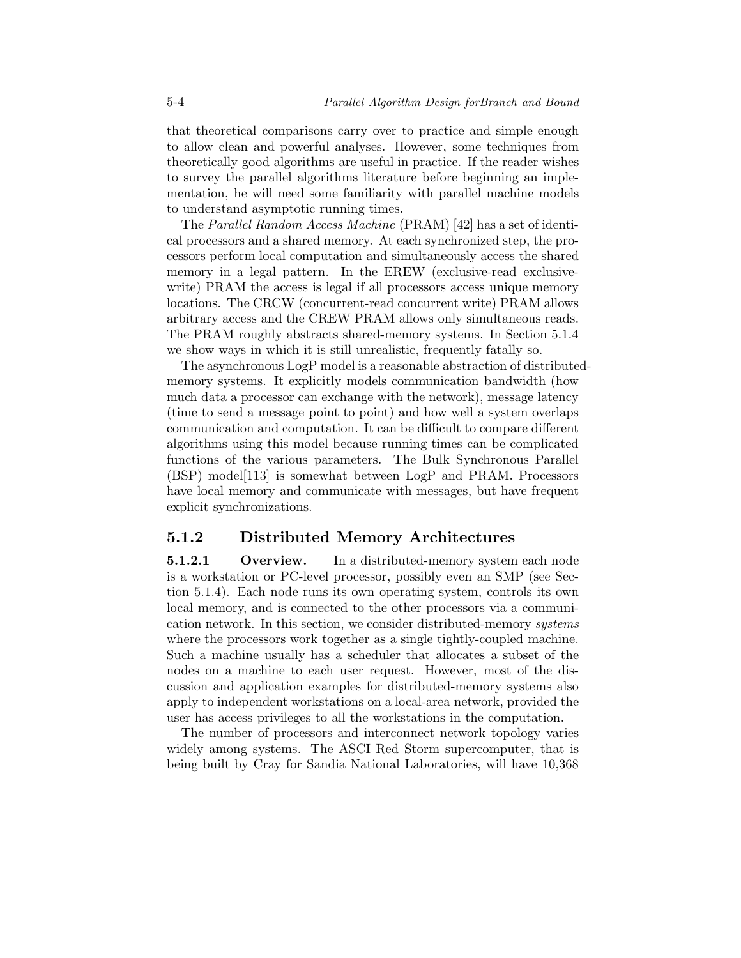that theoretical comparisons carry over to practice and simple enough to allow clean and powerful analyses. However, some techniques from theoretically good algorithms are useful in practice. If the reader wishes to survey the parallel algorithms literature before beginning an implementation, he will need some familiarity with parallel machine models to understand asymptotic running times.

The *Parallel Random Access Machine* (PRAM) [42] has a set of identical processors and a shared memory. At each synchronized step, the processors perform local computation and simultaneously access the shared memory in a legal pattern. In the EREW (exclusive-read exclusivewrite) PRAM the access is legal if all processors access unique memory locations. The CRCW (concurrent-read concurrent write) PRAM allows arbitrary access and the CREW PRAM allows only simultaneous reads. The PRAM roughly abstracts shared-memory systems. In Section 5.1.4 we show ways in which it is still unrealistic, frequently fatally so.

The asynchronous LogP model is a reasonable abstraction of distributedmemory systems. It explicitly models communication bandwidth (how much data a processor can exchange with the network), message latency (time to send a message point to point) and how well a system overlaps communication and computation. It can be difficult to compare different algorithms using this model because running times can be complicated functions of the various parameters. The Bulk Synchronous Parallel (BSP) model[113] is somewhat between LogP and PRAM. Processors have local memory and communicate with messages, but have frequent explicit synchronizations.

## **5.1.2 Distributed Memory Architectures**

**5.1.2.1** Overview. In a distributed-memory system each node is a workstation or PC-level processor, possibly even an SMP (see Section 5.1.4). Each node runs its own operating system, controls its own local memory, and is connected to the other processors via a communication network. In this section, we consider distributed-memory *systems* where the processors work together as a single tightly-coupled machine. Such a machine usually has a scheduler that allocates a subset of the nodes on a machine to each user request. However, most of the discussion and application examples for distributed-memory systems also apply to independent workstations on a local-area network, provided the user has access privileges to all the workstations in the computation.

The number of processors and interconnect network topology varies widely among systems. The ASCI Red Storm supercomputer, that is being built by Cray for Sandia National Laboratories, will have 10,368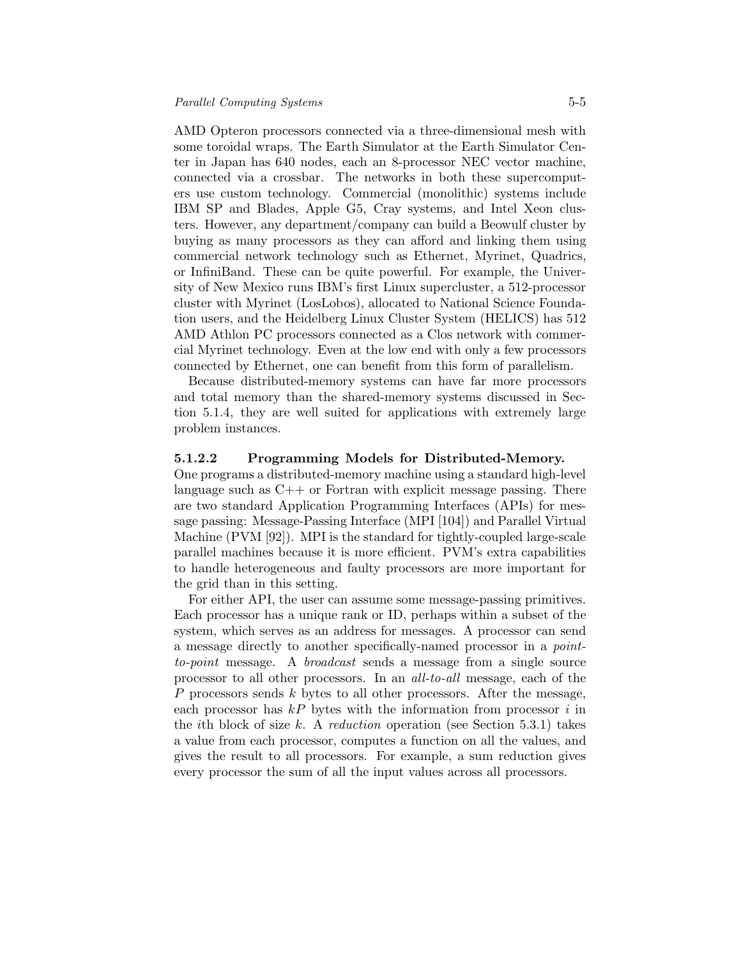AMD Opteron processors connected via a three-dimensional mesh with some toroidal wraps. The Earth Simulator at the Earth Simulator Center in Japan has 640 nodes, each an 8-processor NEC vector machine, connected via a crossbar. The networks in both these supercomputers use custom technology. Commercial (monolithic) systems include IBM SP and Blades, Apple G5, Cray systems, and Intel Xeon clusters. However, any department/company can build a Beowulf cluster by buying as many processors as they can afford and linking them using commercial network technology such as Ethernet, Myrinet, Quadrics, or InfiniBand. These can be quite powerful. For example, the University of New Mexico runs IBM's first Linux supercluster, a 512-processor cluster with Myrinet (LosLobos), allocated to National Science Foundation users, and the Heidelberg Linux Cluster System (HELICS) has 512 AMD Athlon PC processors connected as a Clos network with commercial Myrinet technology. Even at the low end with only a few processors connected by Ethernet, one can benefit from this form of parallelism.

Because distributed-memory systems can have far more processors and total memory than the shared-memory systems discussed in Section 5.1.4, they are well suited for applications with extremely large problem instances.

#### **5.1.2.2 Programming Models for Distributed-Memory.**

One programs a distributed-memory machine using a standard high-level language such as  $C++$  or Fortran with explicit message passing. There are two standard Application Programming Interfaces (APIs) for message passing: Message-Passing Interface (MPI [104]) and Parallel Virtual Machine (PVM [92]). MPI is the standard for tightly-coupled large-scale parallel machines because it is more efficient. PVM's extra capabilities to handle heterogeneous and faulty processors are more important for the grid than in this setting.

For either API, the user can assume some message-passing primitives. Each processor has a unique rank or ID, perhaps within a subset of the system, which serves as an address for messages. A processor can send a message directly to another specifically-named processor in a *pointto-point* message. A *broadcast* sends a message from a single source processor to all other processors. In an *all-to-all* message, each of the P processors sends  $k$  bytes to all other processors. After the message, each processor has  $kP$  bytes with the information from processor i in the ith block of size k. A *reduction* operation (see Section 5.3.1) takes a value from each processor, computes a function on all the values, and gives the result to all processors. For example, a sum reduction gives every processor the sum of all the input values across all processors.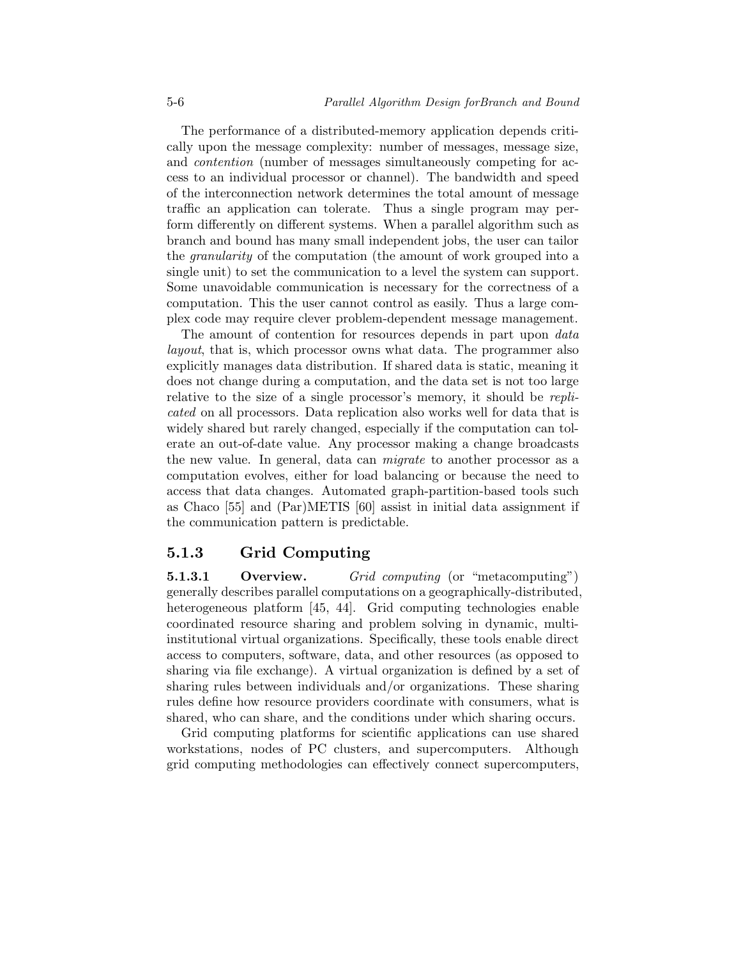The performance of a distributed-memory application depends critically upon the message complexity: number of messages, message size, and *contention* (number of messages simultaneously competing for access to an individual processor or channel). The bandwidth and speed of the interconnection network determines the total amount of message traffic an application can tolerate. Thus a single program may perform differently on different systems. When a parallel algorithm such as branch and bound has many small independent jobs, the user can tailor the *granularity* of the computation (the amount of work grouped into a single unit) to set the communication to a level the system can support. Some unavoidable communication is necessary for the correctness of a computation. This the user cannot control as easily. Thus a large complex code may require clever problem-dependent message management.

The amount of contention for resources depends in part upon *data layout*, that is, which processor owns what data. The programmer also explicitly manages data distribution. If shared data is static, meaning it does not change during a computation, and the data set is not too large relative to the size of a single processor's memory, it should be *replicated* on all processors. Data replication also works well for data that is widely shared but rarely changed, especially if the computation can tolerate an out-of-date value. Any processor making a change broadcasts the new value. In general, data can *migrate* to another processor as a computation evolves, either for load balancing or because the need to access that data changes. Automated graph-partition-based tools such as Chaco [55] and (Par)METIS [60] assist in initial data assignment if the communication pattern is predictable.

## **5.1.3 Grid Computing**

**5.1.3.1 Overview.** *Grid computing* (or "metacomputing") generally describes parallel computations on a geographically-distributed, heterogeneous platform [45, 44]. Grid computing technologies enable coordinated resource sharing and problem solving in dynamic, multiinstitutional virtual organizations. Specifically, these tools enable direct access to computers, software, data, and other resources (as opposed to sharing via file exchange). A virtual organization is defined by a set of sharing rules between individuals and/or organizations. These sharing rules define how resource providers coordinate with consumers, what is shared, who can share, and the conditions under which sharing occurs.

Grid computing platforms for scientific applications can use shared workstations, nodes of PC clusters, and supercomputers. Although grid computing methodologies can effectively connect supercomputers,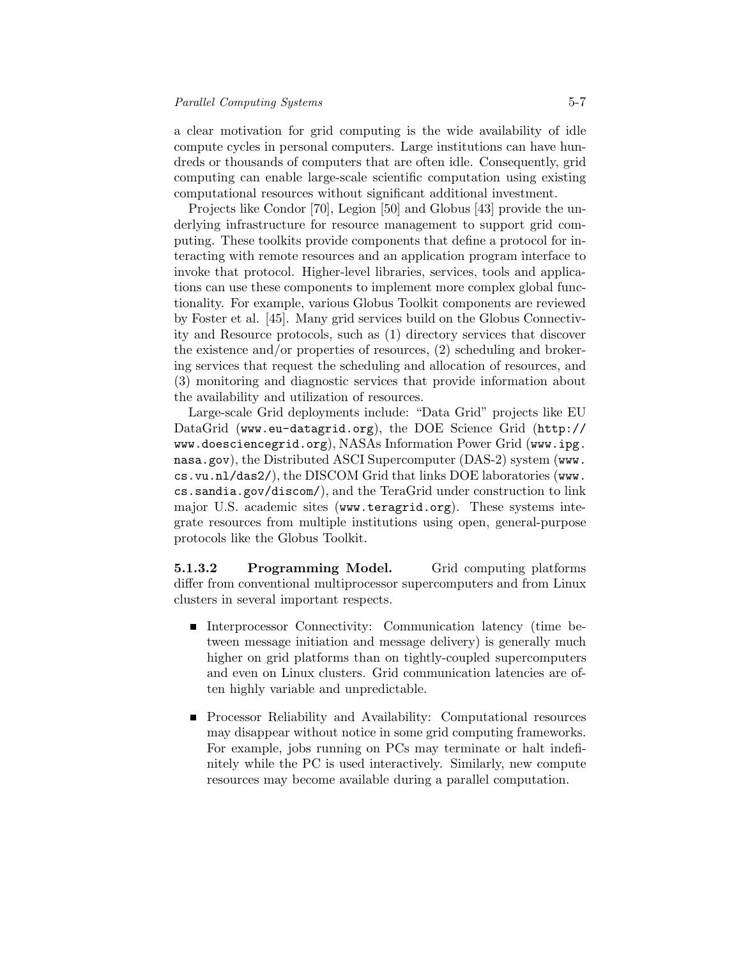a clear motivation for grid computing is the wide availability of idle compute cycles in personal computers. Large institutions can have hundreds or thousands of computers that are often idle. Consequently, grid computing can enable large-scale scientific computation using existing computational resources without significant additional investment.

Projects like Condor [70], Legion [50] and Globus [43] provide the underlying infrastructure for resource management to support grid computing. These toolkits provide components that define a protocol for interacting with remote resources and an application program interface to invoke that protocol. Higher-level libraries, services, tools and applications can use these components to implement more complex global functionality. For example, various Globus Toolkit components are reviewed by Foster et al. [45]. Many grid services build on the Globus Connectivity and Resource protocols, such as (1) directory services that discover the existence and/or properties of resources, (2) scheduling and brokering services that request the scheduling and allocation of resources, and (3) monitoring and diagnostic services that provide information about the availability and utilization of resources.

Large-scale Grid deployments include: "Data Grid" projects like EU DataGrid (www.eu-datagrid.org), the DOE Science Grid (http:// www.doesciencegrid.org), NASAs Information Power Grid (www.ipg. nasa.gov), the Distributed ASCI Supercomputer (DAS-2) system (www. cs.vu.nl/das2/), the DISCOM Grid that links DOE laboratories (www. cs.sandia.gov/discom/), and the TeraGrid under construction to link major U.S. academic sites (www.teragrid.org). These systems integrate resources from multiple institutions using open, general-purpose protocols like the Globus Toolkit.

**5.1.3.2 Programming Model.** Grid computing platforms differ from conventional multiprocessor supercomputers and from Linux clusters in several important respects.

- **Interprocessor Connectivity:** Communication latency (time between message initiation and message delivery) is generally much higher on grid platforms than on tightly-coupled supercomputers and even on Linux clusters. Grid communication latencies are often highly variable and unpredictable.
- **Processor Reliability and Availability: Computational resources** may disappear without notice in some grid computing frameworks. For example, jobs running on PCs may terminate or halt indefinitely while the PC is used interactively. Similarly, new compute resources may become available during a parallel computation.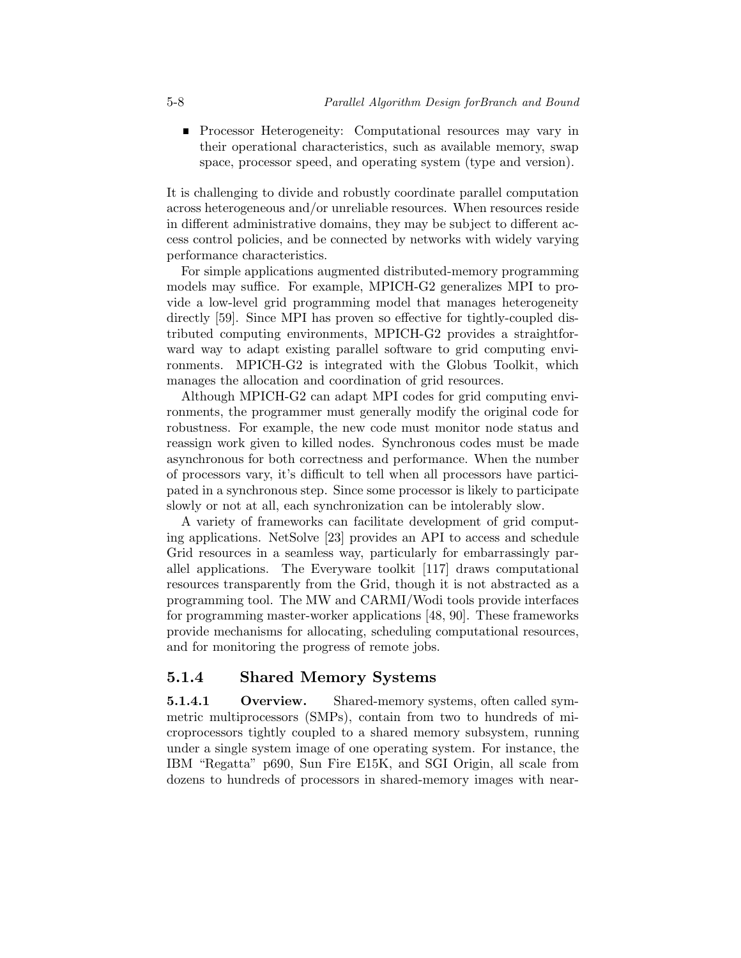$\blacksquare$ Processor Heterogeneity: Computational resources may vary in their operational characteristics, such as available memory, swap space, processor speed, and operating system (type and version).

It is challenging to divide and robustly coordinate parallel computation across heterogeneous and/or unreliable resources. When resources reside in different administrative domains, they may be subject to different access control policies, and be connected by networks with widely varying performance characteristics.

For simple applications augmented distributed-memory programming models may suffice. For example, MPICH-G2 generalizes MPI to provide a low-level grid programming model that manages heterogeneity directly [59]. Since MPI has proven so effective for tightly-coupled distributed computing environments, MPICH-G2 provides a straightforward way to adapt existing parallel software to grid computing environments. MPICH-G2 is integrated with the Globus Toolkit, which manages the allocation and coordination of grid resources.

Although MPICH-G2 can adapt MPI codes for grid computing environments, the programmer must generally modify the original code for robustness. For example, the new code must monitor node status and reassign work given to killed nodes. Synchronous codes must be made asynchronous for both correctness and performance. When the number of processors vary, it's difficult to tell when all processors have participated in a synchronous step. Since some processor is likely to participate slowly or not at all, each synchronization can be intolerably slow.

A variety of frameworks can facilitate development of grid computing applications. NetSolve [23] provides an API to access and schedule Grid resources in a seamless way, particularly for embarrassingly parallel applications. The Everyware toolkit [117] draws computational resources transparently from the Grid, though it is not abstracted as a programming tool. The MW and CARMI/Wodi tools provide interfaces for programming master-worker applications [48, 90]. These frameworks provide mechanisms for allocating, scheduling computational resources, and for monitoring the progress of remote jobs.

## **5.1.4 Shared Memory Systems**

**5.1.4.1 Overview.** Shared-memory systems, often called symmetric multiprocessors (SMPs), contain from two to hundreds of microprocessors tightly coupled to a shared memory subsystem, running under a single system image of one operating system. For instance, the IBM "Regatta" p690, Sun Fire E15K, and SGI Origin, all scale from dozens to hundreds of processors in shared-memory images with near-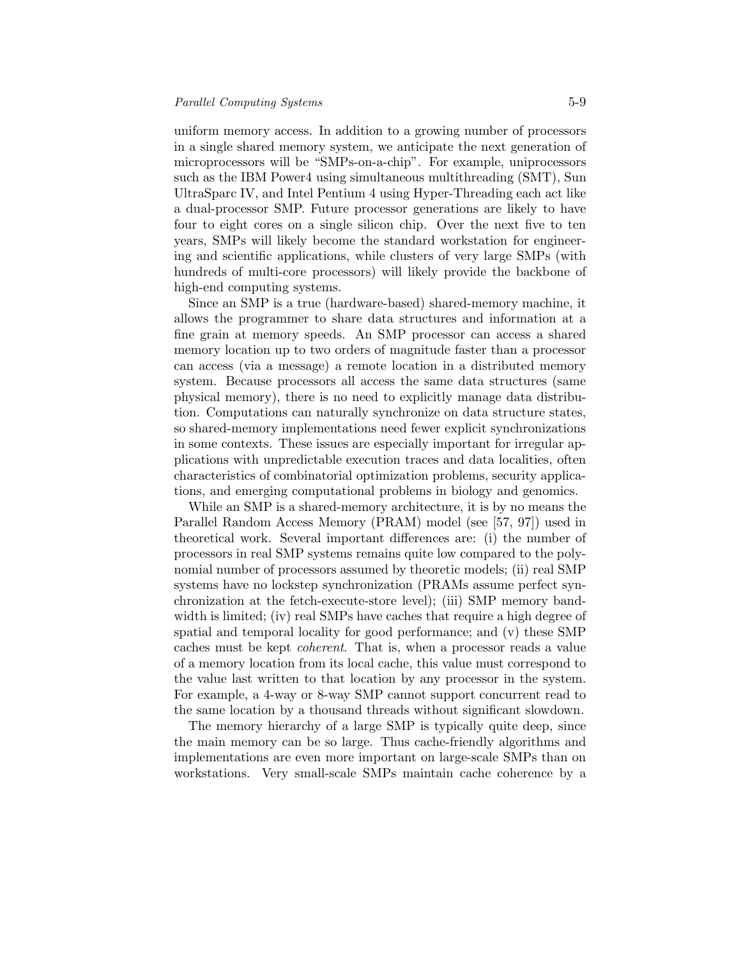uniform memory access. In addition to a growing number of processors in a single shared memory system, we anticipate the next generation of microprocessors will be "SMPs-on-a-chip". For example, uniprocessors such as the IBM Power4 using simultaneous multithreading (SMT), Sun UltraSparc IV, and Intel Pentium 4 using Hyper-Threading each act like a dual-processor SMP. Future processor generations are likely to have four to eight cores on a single silicon chip. Over the next five to ten years, SMPs will likely become the standard workstation for engineering and scientific applications, while clusters of very large SMPs (with hundreds of multi-core processors) will likely provide the backbone of high-end computing systems.

Since an SMP is a true (hardware-based) shared-memory machine, it allows the programmer to share data structures and information at a fine grain at memory speeds. An SMP processor can access a shared memory location up to two orders of magnitude faster than a processor can access (via a message) a remote location in a distributed memory system. Because processors all access the same data structures (same physical memory), there is no need to explicitly manage data distribution. Computations can naturally synchronize on data structure states, so shared-memory implementations need fewer explicit synchronizations in some contexts. These issues are especially important for irregular applications with unpredictable execution traces and data localities, often characteristics of combinatorial optimization problems, security applications, and emerging computational problems in biology and genomics.

While an SMP is a shared-memory architecture, it is by no means the Parallel Random Access Memory (PRAM) model (see [57, 97]) used in theoretical work. Several important differences are: (i) the number of processors in real SMP systems remains quite low compared to the polynomial number of processors assumed by theoretic models; (ii) real SMP systems have no lockstep synchronization (PRAMs assume perfect synchronization at the fetch-execute-store level); (iii) SMP memory bandwidth is limited; (iv) real SMPs have caches that require a high degree of spatial and temporal locality for good performance; and (v) these SMP caches must be kept *coherent*. That is, when a processor reads a value of a memory location from its local cache, this value must correspond to the value last written to that location by any processor in the system. For example, a 4-way or 8-way SMP cannot support concurrent read to the same location by a thousand threads without significant slowdown.

The memory hierarchy of a large SMP is typically quite deep, since the main memory can be so large. Thus cache-friendly algorithms and implementations are even more important on large-scale SMPs than on workstations. Very small-scale SMPs maintain cache coherence by a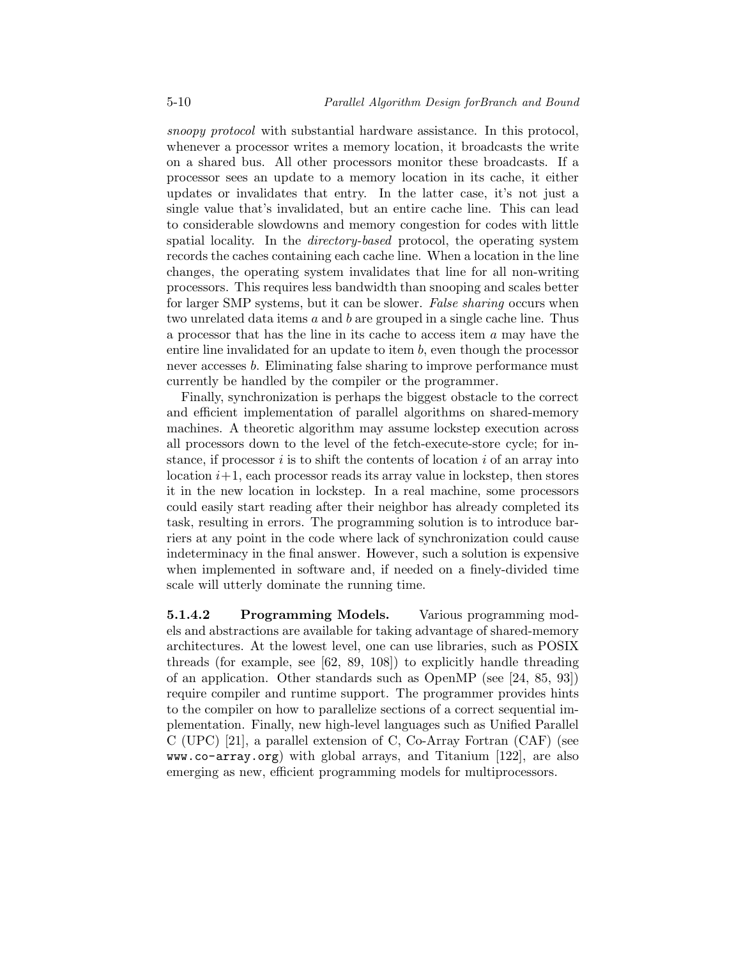*snoopy protocol* with substantial hardware assistance. In this protocol, whenever a processor writes a memory location, it broadcasts the write on a shared bus. All other processors monitor these broadcasts. If a processor sees an update to a memory location in its cache, it either updates or invalidates that entry. In the latter case, it's not just a single value that's invalidated, but an entire cache line. This can lead to considerable slowdowns and memory congestion for codes with little spatial locality. In the *directory-based* protocol, the operating system records the caches containing each cache line. When a location in the line changes, the operating system invalidates that line for all non-writing processors. This requires less bandwidth than snooping and scales better for larger SMP systems, but it can be slower. *False sharing* occurs when two unrelated data items a and b are grouped in a single cache line. Thus a processor that has the line in its cache to access item a may have the entire line invalidated for an update to item  $b$ , even though the processor never accesses b. Eliminating false sharing to improve performance must currently be handled by the compiler or the programmer.

Finally, synchronization is perhaps the biggest obstacle to the correct and efficient implementation of parallel algorithms on shared-memory machines. A theoretic algorithm may assume lockstep execution across all processors down to the level of the fetch-execute-store cycle; for instance, if processor  $i$  is to shift the contents of location  $i$  of an array into location  $i+1$ , each processor reads its array value in lockstep, then stores it in the new location in lockstep. In a real machine, some processors could easily start reading after their neighbor has already completed its task, resulting in errors. The programming solution is to introduce barriers at any point in the code where lack of synchronization could cause indeterminacy in the final answer. However, such a solution is expensive when implemented in software and, if needed on a finely-divided time scale will utterly dominate the running time.

**5.1.4.2 Programming Models.** Various programming models and abstractions are available for taking advantage of shared-memory architectures. At the lowest level, one can use libraries, such as POSIX threads (for example, see [62, 89, 108]) to explicitly handle threading of an application. Other standards such as OpenMP (see [24, 85, 93]) require compiler and runtime support. The programmer provides hints to the compiler on how to parallelize sections of a correct sequential implementation. Finally, new high-level languages such as Unified Parallel C (UPC) [21], a parallel extension of C, Co-Array Fortran (CAF) (see www.co-array.org) with global arrays, and Titanium [122], are also emerging as new, efficient programming models for multiprocessors.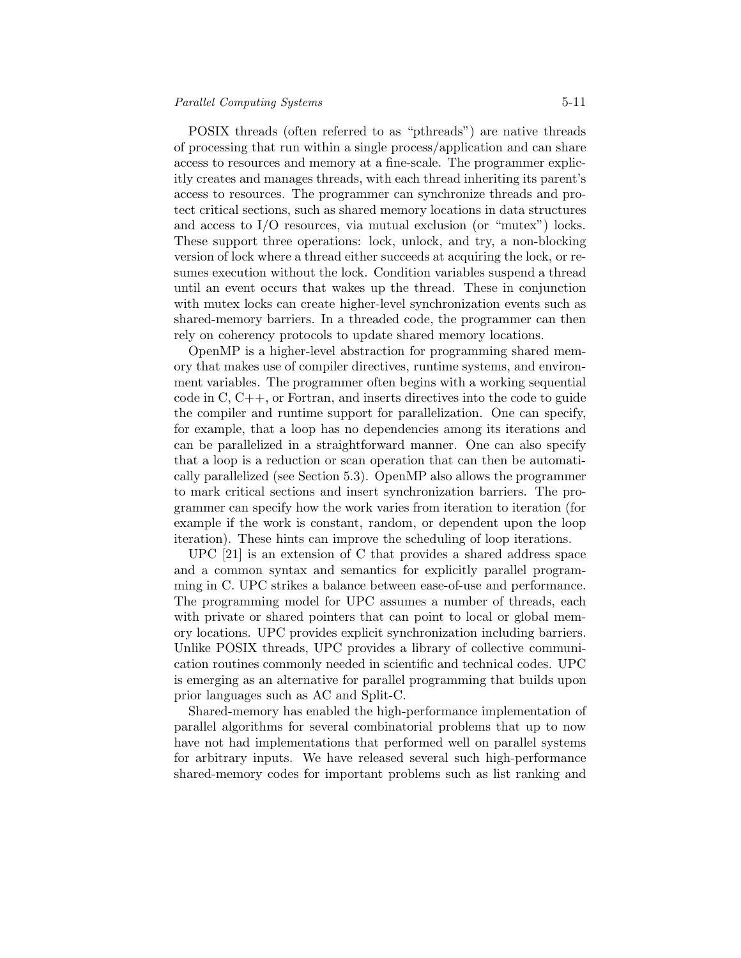POSIX threads (often referred to as "pthreads") are native threads of processing that run within a single process/application and can share access to resources and memory at a fine-scale. The programmer explicitly creates and manages threads, with each thread inheriting its parent's access to resources. The programmer can synchronize threads and protect critical sections, such as shared memory locations in data structures and access to I/O resources, via mutual exclusion (or "mutex") locks. These support three operations: lock, unlock, and try, a non-blocking version of lock where a thread either succeeds at acquiring the lock, or resumes execution without the lock. Condition variables suspend a thread until an event occurs that wakes up the thread. These in conjunction with mutex locks can create higher-level synchronization events such as shared-memory barriers. In a threaded code, the programmer can then rely on coherency protocols to update shared memory locations.

OpenMP is a higher-level abstraction for programming shared memory that makes use of compiler directives, runtime systems, and environment variables. The programmer often begins with a working sequential code in C, C++, or Fortran, and inserts directives into the code to guide the compiler and runtime support for parallelization. One can specify, for example, that a loop has no dependencies among its iterations and can be parallelized in a straightforward manner. One can also specify that a loop is a reduction or scan operation that can then be automatically parallelized (see Section 5.3). OpenMP also allows the programmer to mark critical sections and insert synchronization barriers. The programmer can specify how the work varies from iteration to iteration (for example if the work is constant, random, or dependent upon the loop iteration). These hints can improve the scheduling of loop iterations.

UPC [21] is an extension of C that provides a shared address space and a common syntax and semantics for explicitly parallel programming in C. UPC strikes a balance between ease-of-use and performance. The programming model for UPC assumes a number of threads, each with private or shared pointers that can point to local or global memory locations. UPC provides explicit synchronization including barriers. Unlike POSIX threads, UPC provides a library of collective communication routines commonly needed in scientific and technical codes. UPC is emerging as an alternative for parallel programming that builds upon prior languages such as AC and Split-C.

Shared-memory has enabled the high-performance implementation of parallel algorithms for several combinatorial problems that up to now have not had implementations that performed well on parallel systems for arbitrary inputs. We have released several such high-performance shared-memory codes for important problems such as list ranking and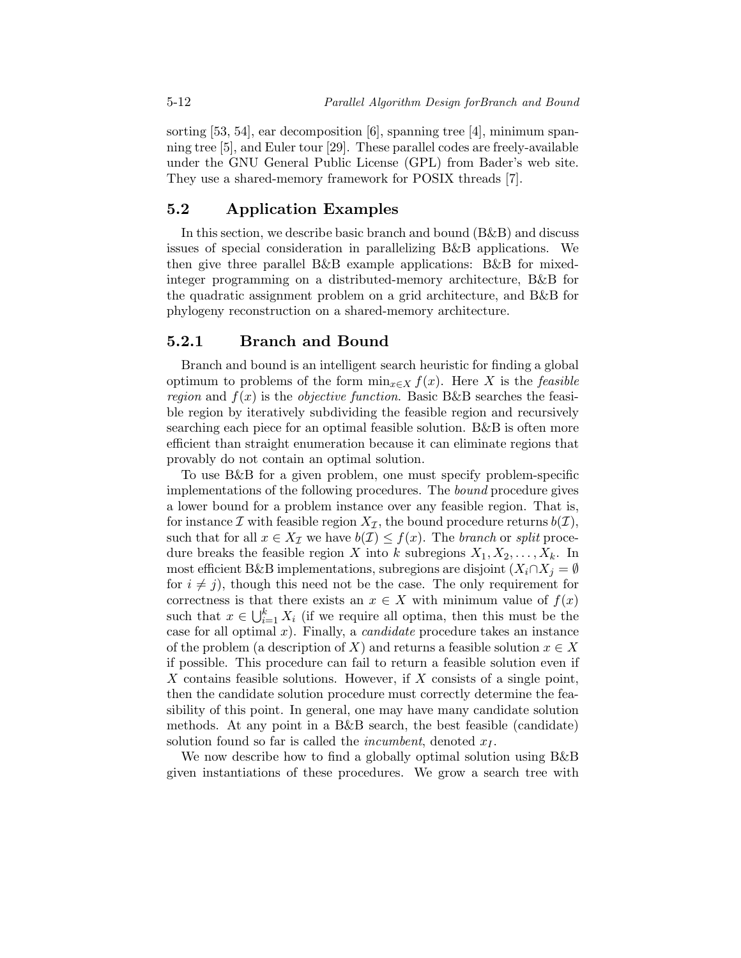sorting [53, 54], ear decomposition [6], spanning tree [4], minimum spanning tree [5], and Euler tour [29]. These parallel codes are freely-available under the GNU General Public License (GPL) from Bader's web site. They use a shared-memory framework for POSIX threads [7].

## **5.2 Application Examples**

In this section, we describe basic branch and bound (B&B) and discuss issues of special consideration in parallelizing B&B applications. We then give three parallel B&B example applications: B&B for mixedinteger programming on a distributed-memory architecture, B&B for the quadratic assignment problem on a grid architecture, and B&B for phylogeny reconstruction on a shared-memory architecture.

## **5.2.1 Branch and Bound**

Branch and bound is an intelligent search heuristic for finding a global optimum to problems of the form  $\min_{x \in X} f(x)$ . Here X is the *feasible region* and  $f(x)$  is the *objective function*. Basic B&B searches the feasible region by iteratively subdividing the feasible region and recursively searching each piece for an optimal feasible solution. B&B is often more efficient than straight enumeration because it can eliminate regions that provably do not contain an optimal solution.

To use B&B for a given problem, one must specify problem-specific implementations of the following procedures. The *bound* procedure gives a lower bound for a problem instance over any feasible region. That is, for instance  $\mathcal I$  with feasible region  $X_{\mathcal I}$ , the bound procedure returns  $b(\mathcal I)$ , such that for all  $x \in X_{\mathcal{I}}$  we have  $b(\mathcal{I}) \leq f(x)$ . The *branch* or *split* procedure breaks the feasible region X into k subregions  $X_1, X_2, \ldots, X_k$ . In most efficient B&B implementations, subregions are disjoint  $(X_i \cap X_j = \emptyset)$ for  $i \neq j$ , though this need not be the case. The only requirement for correctness is that there exists an  $x \in X$  with minimum value of  $f(x)$ such that  $x \in \bigcup_{i=1}^k X_i$  (if we require all optima, then this must be the case for all optimal x). Finally, a *candidate* procedure takes an instance of the problem (a description of X) and returns a feasible solution  $x \in X$ if possible. This procedure can fail to return a feasible solution even if  $X$  contains feasible solutions. However, if  $X$  consists of a single point, then the candidate solution procedure must correctly determine the feasibility of this point. In general, one may have many candidate solution methods. At any point in a B&B search, the best feasible (candidate) solution found so far is called the *incumbent*, denoted  $x_I$ .

We now describe how to find a globally optimal solution using  $B\&B$ given instantiations of these procedures. We grow a search tree with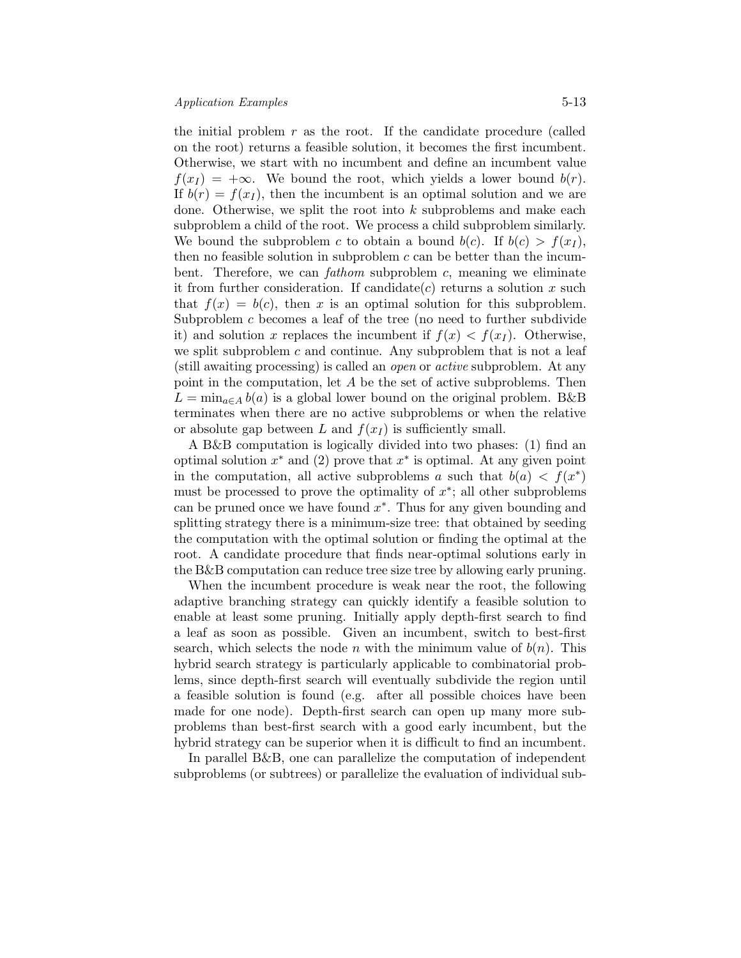the initial problem  $r$  as the root. If the candidate procedure (called on the root) returns a feasible solution, it becomes the first incumbent. Otherwise, we start with no incumbent and define an incumbent value  $f(x_I) = +\infty$ . We bound the root, which yields a lower bound  $b(r)$ . If  $b(r) = f(x_I)$ , then the incumbent is an optimal solution and we are done. Otherwise, we split the root into  $k$  subproblems and make each subproblem a child of the root. We process a child subproblem similarly. We bound the subproblem c to obtain a bound  $b(c)$ . If  $b(c) > f(x_I)$ , then no feasible solution in subproblem  $c$  can be better than the incumbent. Therefore, we can *fathom* subproblem c, meaning we eliminate it from further consideration. If candidate $(c)$  returns a solution x such that  $f(x) = b(c)$ , then x is an optimal solution for this subproblem. Subproblem c becomes a leaf of the tree (no need to further subdivide it) and solution x replaces the incumbent if  $f(x) < f(x_I)$ . Otherwise, we split subproblem  $c$  and continue. Any subproblem that is not a leaf (still awaiting processing) is called an *open* or *active* subproblem. At any point in the computation, let A be the set of active subproblems. Then  $L = \min_{a \in A} b(a)$  is a global lower bound on the original problem. B&B terminates when there are no active subproblems or when the relative or absolute gap between L and  $f(x_I)$  is sufficiently small.

A B&B computation is logically divided into two phases: (1) find an optimal solution  $x^*$  and (2) prove that  $x^*$  is optimal. At any given point in the computation, all active subproblems a such that  $b(a) < f(x^*)$ must be processed to prove the optimality of  $x^*$ ; all other subproblems can be pruned once we have found  $x^*$ . Thus for any given bounding and splitting strategy there is a minimum-size tree: that obtained by seeding the computation with the optimal solution or finding the optimal at the root. A candidate procedure that finds near-optimal solutions early in the B&B computation can reduce tree size tree by allowing early pruning.

When the incumbent procedure is weak near the root, the following adaptive branching strategy can quickly identify a feasible solution to enable at least some pruning. Initially apply depth-first search to find a leaf as soon as possible. Given an incumbent, switch to best-first search, which selects the node n with the minimum value of  $b(n)$ . This hybrid search strategy is particularly applicable to combinatorial problems, since depth-first search will eventually subdivide the region until a feasible solution is found (e.g. after all possible choices have been made for one node). Depth-first search can open up many more subproblems than best-first search with a good early incumbent, but the hybrid strategy can be superior when it is difficult to find an incumbent.

In parallel B&B, one can parallelize the computation of independent subproblems (or subtrees) or parallelize the evaluation of individual sub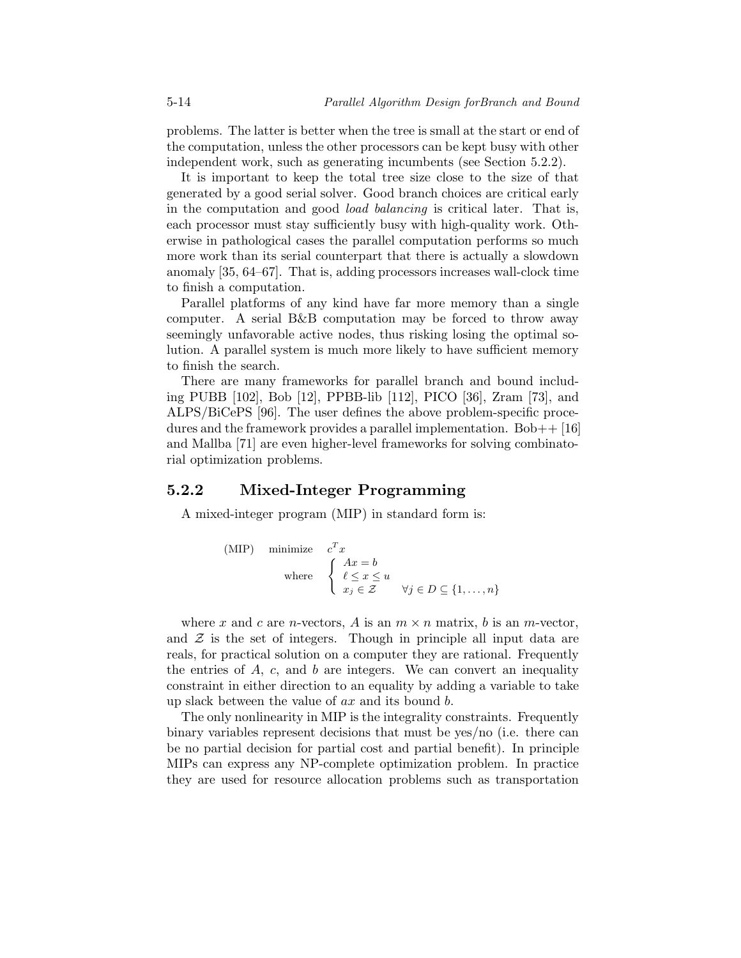problems. The latter is better when the tree is small at the start or end of the computation, unless the other processors can be kept busy with other independent work, such as generating incumbents (see Section 5.2.2).

It is important to keep the total tree size close to the size of that generated by a good serial solver. Good branch choices are critical early in the computation and good *load balancing* is critical later. That is, each processor must stay sufficiently busy with high-quality work. Otherwise in pathological cases the parallel computation performs so much more work than its serial counterpart that there is actually a slowdown anomaly [35, 64–67]. That is, adding processors increases wall-clock time to finish a computation.

Parallel platforms of any kind have far more memory than a single computer. A serial B&B computation may be forced to throw away seemingly unfavorable active nodes, thus risking losing the optimal solution. A parallel system is much more likely to have sufficient memory to finish the search.

There are many frameworks for parallel branch and bound including PUBB [102], Bob [12], PPBB-lib [112], PICO [36], Zram [73], and ALPS/BiCePS [96]. The user defines the above problem-specific procedures and the framework provides a parallel implementation.  $Bob++[16]$ and Mallba [71] are even higher-level frameworks for solving combinatorial optimization problems.

## **5.2.2 Mixed-Integer Programming**

A mixed-integer program (MIP) in standard form is:

(MIP) minimize 
$$
c^T x
$$
  
\nwhere 
$$
\begin{cases}\nAx = b \\
\ell \le x \le u \\
x_j \in \mathcal{Z} \n\end{cases} \forall j \in D \subseteq \{1, ..., n\}
$$

where x and c are n-vectors, A is an  $m \times n$  matrix, b is an m-vector, and  $\mathcal Z$  is the set of integers. Though in principle all input data are reals, for practical solution on a computer they are rational. Frequently the entries of  $A$ ,  $c$ , and  $b$  are integers. We can convert an inequality constraint in either direction to an equality by adding a variable to take up slack between the value of  $ax$  and its bound  $b$ .

The only nonlinearity in MIP is the integrality constraints. Frequently binary variables represent decisions that must be yes/no (i.e. there can be no partial decision for partial cost and partial benefit). In principle MIPs can express any NP-complete optimization problem. In practice they are used for resource allocation problems such as transportation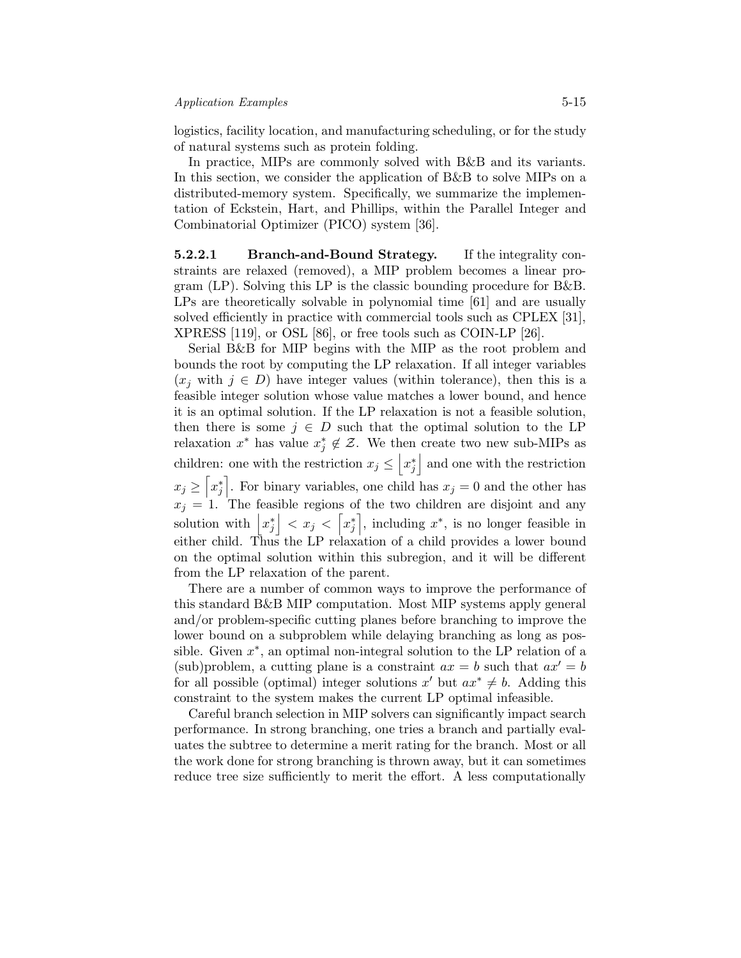logistics, facility location, and manufacturing scheduling, or for the study of natural systems such as protein folding.

In practice, MIPs are commonly solved with B&B and its variants. In this section, we consider the application of B&B to solve MIPs on a distributed-memory system. Specifically, we summarize the implementation of Eckstein, Hart, and Phillips, within the Parallel Integer and Combinatorial Optimizer (PICO) system [36].

**5.2.2.1 Branch-and-Bound Strategy.** If the integrality constraints are relaxed (removed), a MIP problem becomes a linear program (LP). Solving this LP is the classic bounding procedure for B&B. LPs are theoretically solvable in polynomial time [61] and are usually solved efficiently in practice with commercial tools such as CPLEX [31], XPRESS [119], or OSL [86], or free tools such as COIN-LP [26].

Serial B&B for MIP begins with the MIP as the root problem and bounds the root by computing the LP relaxation. If all integer variables  $(x_i$  with  $j \in D$ ) have integer values (within tolerance), then this is a feasible integer solution whose value matches a lower bound, and hence it is an optimal solution. If the LP relaxation is not a feasible solution, then there is some  $j \in D$  such that the optimal solution to the LP relaxation  $x^*$  has value  $x_j^* \notin \mathcal{Z}$ . We then create two new sub-MIPs as children: one with the restriction  $x_j \leq \lfloor x_j^* \rfloor$  and one with the restriction  $x_j \geq \lceil x_j^* \rceil$ . For binary variables, one child has  $x_j = 0$  and the other has  $x_j = 1$ . The feasible regions of the two children are disjoint and any solution with  $\left| x_j^* \right| < x_j < \left[ x_j^* \right]$ , including  $x^*$ , is no longer feasible in either child. Thus the LP relaxation of a child provides a lower bound on the optimal solution within this subregion, and it will be different from the LP relaxation of the parent.

There are a number of common ways to improve the performance of this standard B&B MIP computation. Most MIP systems apply general and/or problem-specific cutting planes before branching to improve the lower bound on a subproblem while delaying branching as long as possible. Given  $x^*$ , an optimal non-integral solution to the LP relation of a (sub)problem, a cutting plane is a constraint  $ax = b$  such that  $ax' = b$ for all possible (optimal) integer solutions x' but  $ax^* \neq b$ . Adding this constraint to the system makes the current LP optimal infeasible.

Careful branch selection in MIP solvers can significantly impact search performance. In strong branching, one tries a branch and partially evaluates the subtree to determine a merit rating for the branch. Most or all the work done for strong branching is thrown away, but it can sometimes reduce tree size sufficiently to merit the effort. A less computationally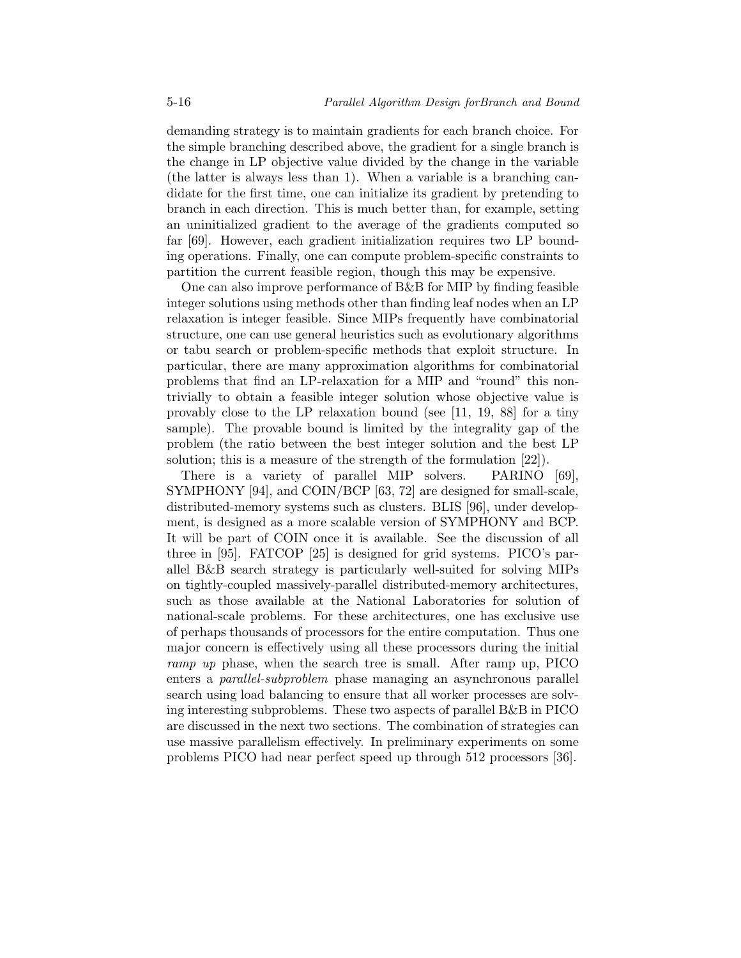demanding strategy is to maintain gradients for each branch choice. For the simple branching described above, the gradient for a single branch is the change in LP objective value divided by the change in the variable (the latter is always less than 1). When a variable is a branching candidate for the first time, one can initialize its gradient by pretending to branch in each direction. This is much better than, for example, setting an uninitialized gradient to the average of the gradients computed so far [69]. However, each gradient initialization requires two LP bounding operations. Finally, one can compute problem-specific constraints to partition the current feasible region, though this may be expensive.

One can also improve performance of B&B for MIP by finding feasible integer solutions using methods other than finding leaf nodes when an LP relaxation is integer feasible. Since MIPs frequently have combinatorial structure, one can use general heuristics such as evolutionary algorithms or tabu search or problem-specific methods that exploit structure. In particular, there are many approximation algorithms for combinatorial problems that find an LP-relaxation for a MIP and "round" this nontrivially to obtain a feasible integer solution whose objective value is provably close to the LP relaxation bound (see [11, 19, 88] for a tiny sample). The provable bound is limited by the integrality gap of the problem (the ratio between the best integer solution and the best LP solution; this is a measure of the strength of the formulation [22]).

There is a variety of parallel MIP solvers. PARINO [69], SYMPHONY [94], and COIN/BCP [63, 72] are designed for small-scale, distributed-memory systems such as clusters. BLIS [96], under development, is designed as a more scalable version of SYMPHONY and BCP. It will be part of COIN once it is available. See the discussion of all three in [95]. FATCOP [25] is designed for grid systems. PICO's parallel B&B search strategy is particularly well-suited for solving MIPs on tightly-coupled massively-parallel distributed-memory architectures, such as those available at the National Laboratories for solution of national-scale problems. For these architectures, one has exclusive use of perhaps thousands of processors for the entire computation. Thus one major concern is effectively using all these processors during the initial *ramp up* phase, when the search tree is small. After ramp up, PICO enters a *parallel-subproblem* phase managing an asynchronous parallel search using load balancing to ensure that all worker processes are solving interesting subproblems. These two aspects of parallel B&B in PICO are discussed in the next two sections. The combination of strategies can use massive parallelism effectively. In preliminary experiments on some problems PICO had near perfect speed up through 512 processors [36].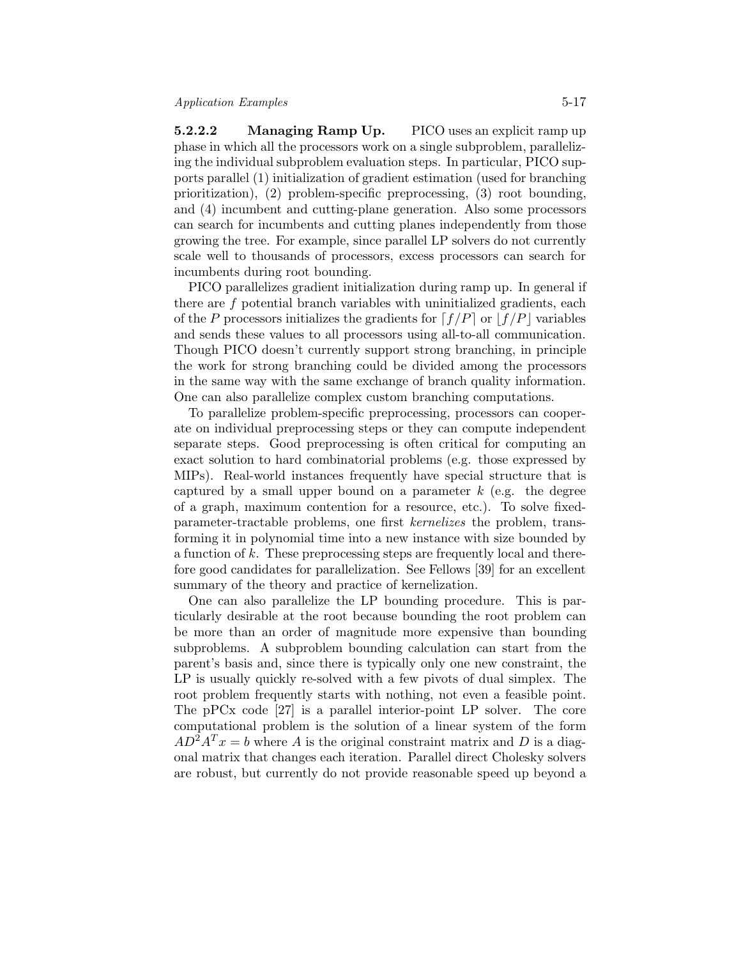**5.2.2.2** Managing Ramp Up. PICO uses an explicit ramp up phase in which all the processors work on a single subproblem, parallelizing the individual subproblem evaluation steps. In particular, PICO supports parallel (1) initialization of gradient estimation (used for branching prioritization), (2) problem-specific preprocessing, (3) root bounding, and (4) incumbent and cutting-plane generation. Also some processors can search for incumbents and cutting planes independently from those growing the tree. For example, since parallel LP solvers do not currently scale well to thousands of processors, excess processors can search for incumbents during root bounding.

PICO parallelizes gradient initialization during ramp up. In general if there are f potential branch variables with uninitialized gradients, each of the P processors initializes the gradients for  $[f/P]$  or  $[f/P]$  variables and sends these values to all processors using all-to-all communication. Though PICO doesn't currently support strong branching, in principle the work for strong branching could be divided among the processors in the same way with the same exchange of branch quality information. One can also parallelize complex custom branching computations.

To parallelize problem-specific preprocessing, processors can cooperate on individual preprocessing steps or they can compute independent separate steps. Good preprocessing is often critical for computing an exact solution to hard combinatorial problems (e.g. those expressed by MIPs). Real-world instances frequently have special structure that is captured by a small upper bound on a parameter  $k$  (e.g. the degree of a graph, maximum contention for a resource, etc.). To solve fixedparameter-tractable problems, one first *kernelizes* the problem, transforming it in polynomial time into a new instance with size bounded by a function of k. These preprocessing steps are frequently local and therefore good candidates for parallelization. See Fellows [39] for an excellent summary of the theory and practice of kernelization.

One can also parallelize the LP bounding procedure. This is particularly desirable at the root because bounding the root problem can be more than an order of magnitude more expensive than bounding subproblems. A subproblem bounding calculation can start from the parent's basis and, since there is typically only one new constraint, the LP is usually quickly re-solved with a few pivots of dual simplex. The root problem frequently starts with nothing, not even a feasible point. The pPCx code [27] is a parallel interior-point LP solver. The core computational problem is the solution of a linear system of the form  $AD^2A^Tx = b$  where A is the original constraint matrix and D is a diagonal matrix that changes each iteration. Parallel direct Cholesky solvers are robust, but currently do not provide reasonable speed up beyond a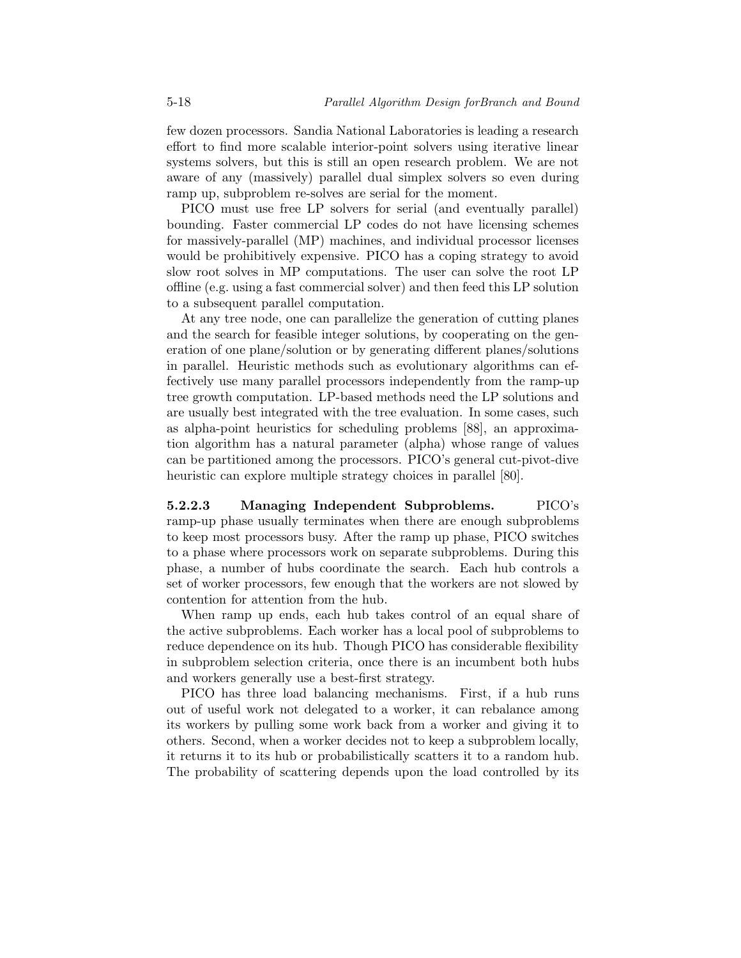few dozen processors. Sandia National Laboratories is leading a research effort to find more scalable interior-point solvers using iterative linear systems solvers, but this is still an open research problem. We are not aware of any (massively) parallel dual simplex solvers so even during ramp up, subproblem re-solves are serial for the moment.

PICO must use free LP solvers for serial (and eventually parallel) bounding. Faster commercial LP codes do not have licensing schemes for massively-parallel (MP) machines, and individual processor licenses would be prohibitively expensive. PICO has a coping strategy to avoid slow root solves in MP computations. The user can solve the root LP offline (e.g. using a fast commercial solver) and then feed this LP solution to a subsequent parallel computation.

At any tree node, one can parallelize the generation of cutting planes and the search for feasible integer solutions, by cooperating on the generation of one plane/solution or by generating different planes/solutions in parallel. Heuristic methods such as evolutionary algorithms can effectively use many parallel processors independently from the ramp-up tree growth computation. LP-based methods need the LP solutions and are usually best integrated with the tree evaluation. In some cases, such as alpha-point heuristics for scheduling problems [88], an approximation algorithm has a natural parameter (alpha) whose range of values can be partitioned among the processors. PICO's general cut-pivot-dive heuristic can explore multiple strategy choices in parallel [80].

**5.2.2.3 Managing Independent Subproblems.** PICO's ramp-up phase usually terminates when there are enough subproblems to keep most processors busy. After the ramp up phase, PICO switches to a phase where processors work on separate subproblems. During this phase, a number of hubs coordinate the search. Each hub controls a set of worker processors, few enough that the workers are not slowed by contention for attention from the hub.

When ramp up ends, each hub takes control of an equal share of the active subproblems. Each worker has a local pool of subproblems to reduce dependence on its hub. Though PICO has considerable flexibility in subproblem selection criteria, once there is an incumbent both hubs and workers generally use a best-first strategy.

PICO has three load balancing mechanisms. First, if a hub runs out of useful work not delegated to a worker, it can rebalance among its workers by pulling some work back from a worker and giving it to others. Second, when a worker decides not to keep a subproblem locally, it returns it to its hub or probabilistically scatters it to a random hub. The probability of scattering depends upon the load controlled by its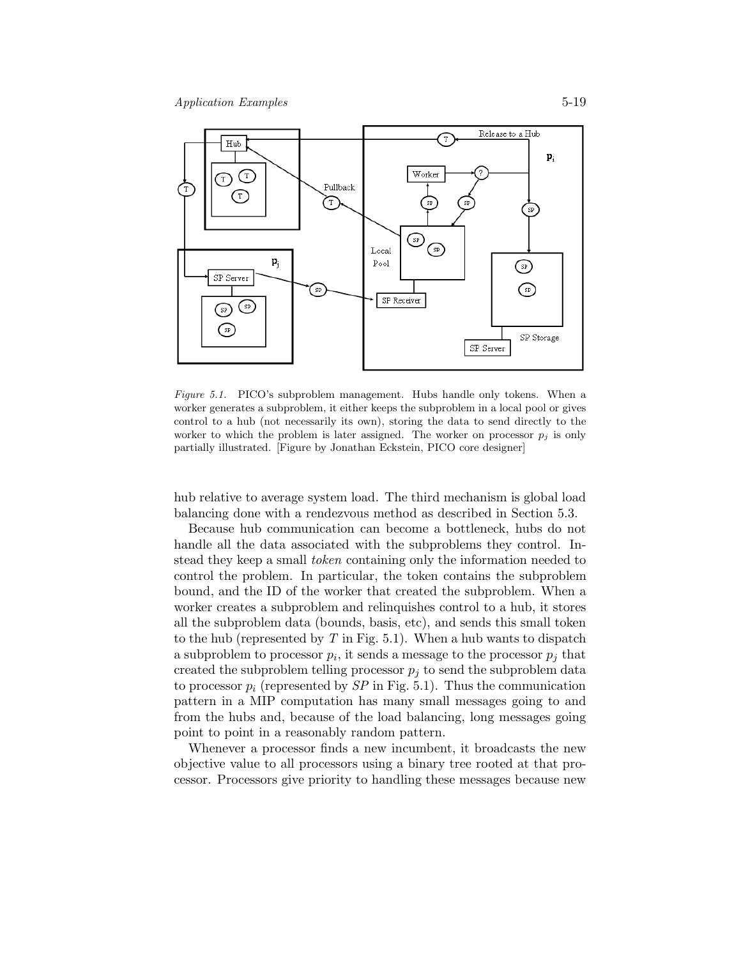

*Figure 5.1.* PICO's subproblem management. Hubs handle only tokens. When a worker generates a subproblem, it either keeps the subproblem in a local pool or gives control to a hub (not necessarily its own), storing the data to send directly to the worker to which the problem is later assigned. The worker on processor  $p_j$  is only partially illustrated. [Figure by Jonathan Eckstein, PICO core designer]

hub relative to average system load. The third mechanism is global load balancing done with a rendezvous method as described in Section 5.3.

Because hub communication can become a bottleneck, hubs do not handle all the data associated with the subproblems they control. Instead they keep a small *token* containing only the information needed to control the problem. In particular, the token contains the subproblem bound, and the ID of the worker that created the subproblem. When a worker creates a subproblem and relinquishes control to a hub, it stores all the subproblem data (bounds, basis, etc), and sends this small token to the hub (represented by *T* in Fig. 5.1). When a hub wants to dispatch a subproblem to processor  $p_i$ , it sends a message to the processor  $p_j$  that created the subproblem telling processor  $p_i$  to send the subproblem data to processor  $p_i$  (represented by  $SP$  in Fig. 5.1). Thus the communication pattern in a MIP computation has many small messages going to and from the hubs and, because of the load balancing, long messages going point to point in a reasonably random pattern.

Whenever a processor finds a new incumbent, it broadcasts the new objective value to all processors using a binary tree rooted at that processor. Processors give priority to handling these messages because new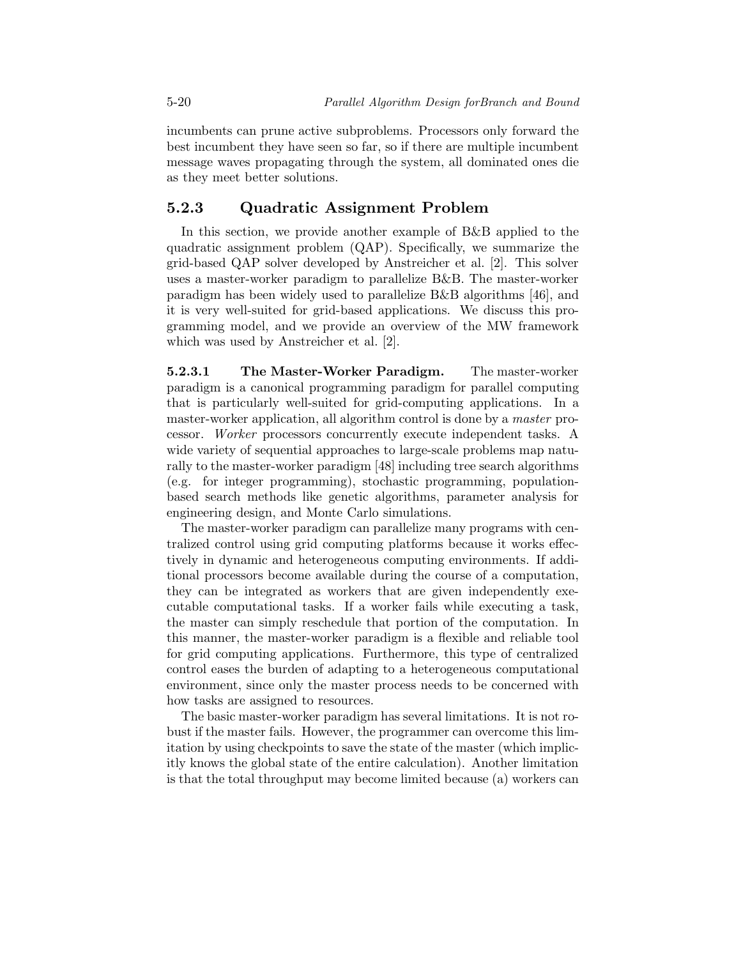incumbents can prune active subproblems. Processors only forward the best incumbent they have seen so far, so if there are multiple incumbent message waves propagating through the system, all dominated ones die as they meet better solutions.

## **5.2.3 Quadratic Assignment Problem**

In this section, we provide another example of B&B applied to the quadratic assignment problem (QAP). Specifically, we summarize the grid-based QAP solver developed by Anstreicher et al. [2]. This solver uses a master-worker paradigm to parallelize B&B. The master-worker paradigm has been widely used to parallelize B&B algorithms [46], and it is very well-suited for grid-based applications. We discuss this programming model, and we provide an overview of the MW framework which was used by Anstreicher et al. [2].

**5.2.3.1 The Master-Worker Paradigm.** The master-worker paradigm is a canonical programming paradigm for parallel computing that is particularly well-suited for grid-computing applications. In a master-worker application, all algorithm control is done by a *master* processor. *Worker* processors concurrently execute independent tasks. A wide variety of sequential approaches to large-scale problems map naturally to the master-worker paradigm [48] including tree search algorithms (e.g. for integer programming), stochastic programming, populationbased search methods like genetic algorithms, parameter analysis for engineering design, and Monte Carlo simulations.

The master-worker paradigm can parallelize many programs with centralized control using grid computing platforms because it works effectively in dynamic and heterogeneous computing environments. If additional processors become available during the course of a computation, they can be integrated as workers that are given independently executable computational tasks. If a worker fails while executing a task, the master can simply reschedule that portion of the computation. In this manner, the master-worker paradigm is a flexible and reliable tool for grid computing applications. Furthermore, this type of centralized control eases the burden of adapting to a heterogeneous computational environment, since only the master process needs to be concerned with how tasks are assigned to resources.

The basic master-worker paradigm has several limitations. It is not robust if the master fails. However, the programmer can overcome this limitation by using checkpoints to save the state of the master (which implicitly knows the global state of the entire calculation). Another limitation is that the total throughput may become limited because (a) workers can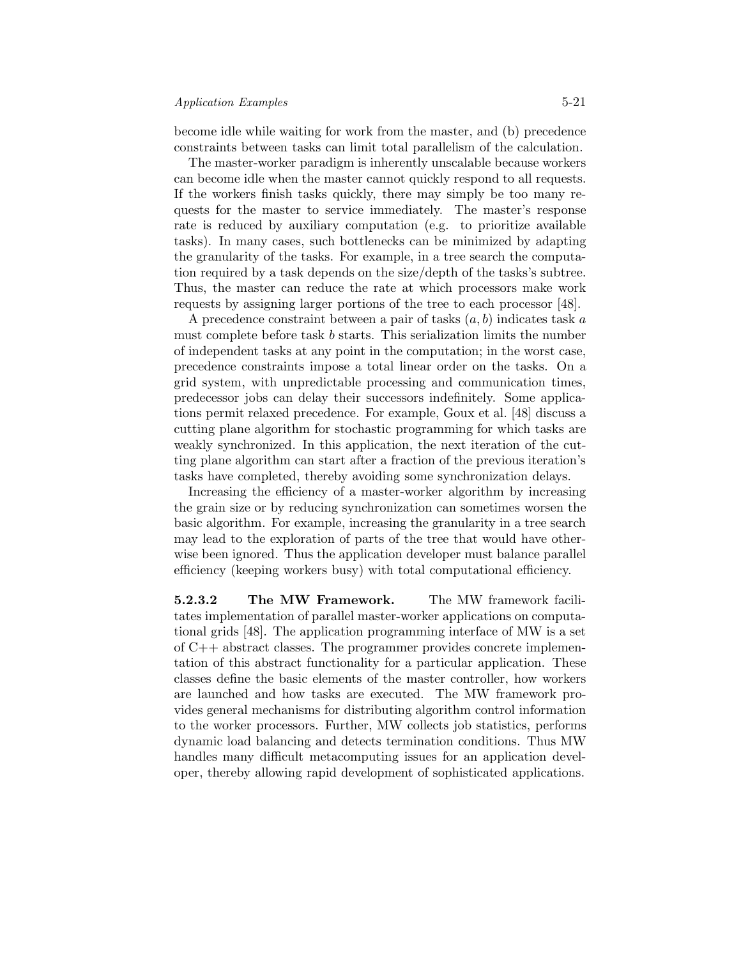become idle while waiting for work from the master, and (b) precedence constraints between tasks can limit total parallelism of the calculation.

The master-worker paradigm is inherently unscalable because workers can become idle when the master cannot quickly respond to all requests. If the workers finish tasks quickly, there may simply be too many requests for the master to service immediately. The master's response rate is reduced by auxiliary computation (e.g. to prioritize available tasks). In many cases, such bottlenecks can be minimized by adapting the granularity of the tasks. For example, in a tree search the computation required by a task depends on the size/depth of the tasks's subtree. Thus, the master can reduce the rate at which processors make work requests by assigning larger portions of the tree to each processor [48].

A precedence constraint between a pair of tasks  $(a, b)$  indicates task a must complete before task b starts. This serialization limits the number of independent tasks at any point in the computation; in the worst case, precedence constraints impose a total linear order on the tasks. On a grid system, with unpredictable processing and communication times, predecessor jobs can delay their successors indefinitely. Some applications permit relaxed precedence. For example, Goux et al. [48] discuss a cutting plane algorithm for stochastic programming for which tasks are weakly synchronized. In this application, the next iteration of the cutting plane algorithm can start after a fraction of the previous iteration's tasks have completed, thereby avoiding some synchronization delays.

Increasing the efficiency of a master-worker algorithm by increasing the grain size or by reducing synchronization can sometimes worsen the basic algorithm. For example, increasing the granularity in a tree search may lead to the exploration of parts of the tree that would have otherwise been ignored. Thus the application developer must balance parallel efficiency (keeping workers busy) with total computational efficiency.

**5.2.3.2 The MW Framework.** The MW framework facilitates implementation of parallel master-worker applications on computational grids [48]. The application programming interface of MW is a set of  $C_{++}$  abstract classes. The programmer provides concrete implementation of this abstract functionality for a particular application. These classes define the basic elements of the master controller, how workers are launched and how tasks are executed. The MW framework provides general mechanisms for distributing algorithm control information to the worker processors. Further, MW collects job statistics, performs dynamic load balancing and detects termination conditions. Thus MW handles many difficult metacomputing issues for an application developer, thereby allowing rapid development of sophisticated applications.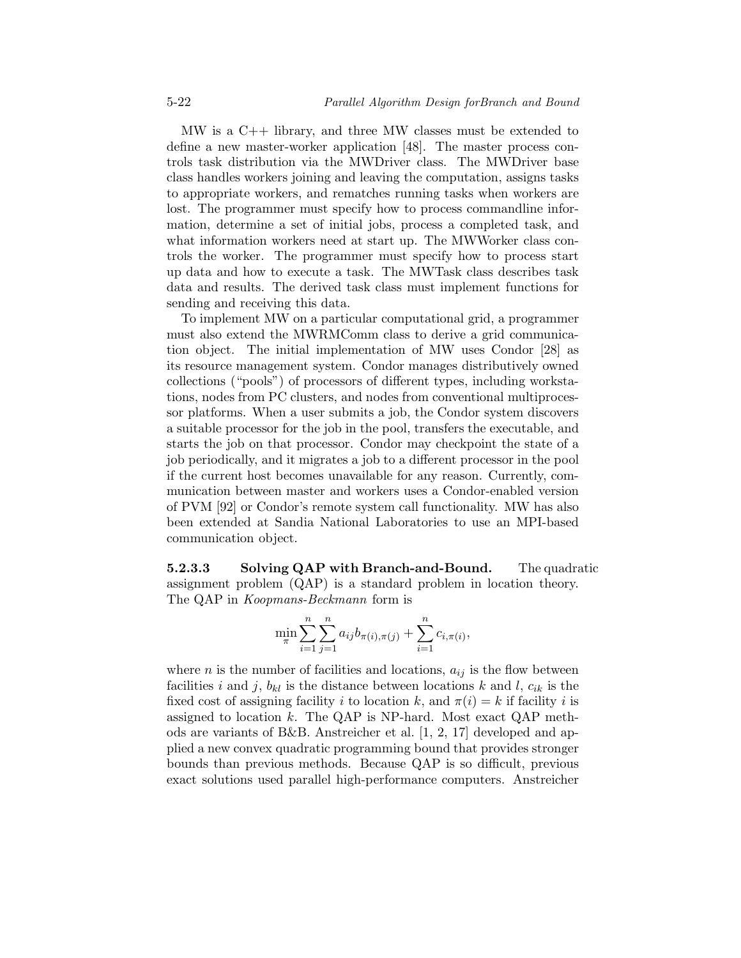MW is a C++ library, and three MW classes must be extended to define a new master-worker application [48]. The master process controls task distribution via the MWDriver class. The MWDriver base class handles workers joining and leaving the computation, assigns tasks to appropriate workers, and rematches running tasks when workers are lost. The programmer must specify how to process commandline information, determine a set of initial jobs, process a completed task, and what information workers need at start up. The MWWorker class controls the worker. The programmer must specify how to process start up data and how to execute a task. The MWTask class describes task data and results. The derived task class must implement functions for sending and receiving this data.

To implement MW on a particular computational grid, a programmer must also extend the MWRMComm class to derive a grid communication object. The initial implementation of MW uses Condor [28] as its resource management system. Condor manages distributively owned collections ("pools") of processors of different types, including workstations, nodes from PC clusters, and nodes from conventional multiprocessor platforms. When a user submits a job, the Condor system discovers a suitable processor for the job in the pool, transfers the executable, and starts the job on that processor. Condor may checkpoint the state of a job periodically, and it migrates a job to a different processor in the pool if the current host becomes unavailable for any reason. Currently, communication between master and workers uses a Condor-enabled version of PVM [92] or Condor's remote system call functionality. MW has also been extended at Sandia National Laboratories to use an MPI-based communication object.

**5.2.3.3 Solving QAP with Branch-and-Bound.** The quadratic assignment problem (QAP) is a standard problem in location theory. The QAP in *Koopmans-Beckmann* form is

$$
\min_{\pi} \sum_{i=1}^{n} \sum_{j=1}^{n} a_{ij} b_{\pi(i), \pi(j)} + \sum_{i=1}^{n} c_{i, \pi(i)},
$$

where *n* is the number of facilities and locations,  $a_{ij}$  is the flow between facilities i and j,  $b_{kl}$  is the distance between locations k and l,  $c_{ik}$  is the fixed cost of assigning facility i to location k, and  $\pi(i) = k$  if facility i is assigned to location k. The QAP is NP-hard. Most exact QAP methods are variants of B&B. Anstreicher et al. [1, 2, 17] developed and applied a new convex quadratic programming bound that provides stronger bounds than previous methods. Because QAP is so difficult, previous exact solutions used parallel high-performance computers. Anstreicher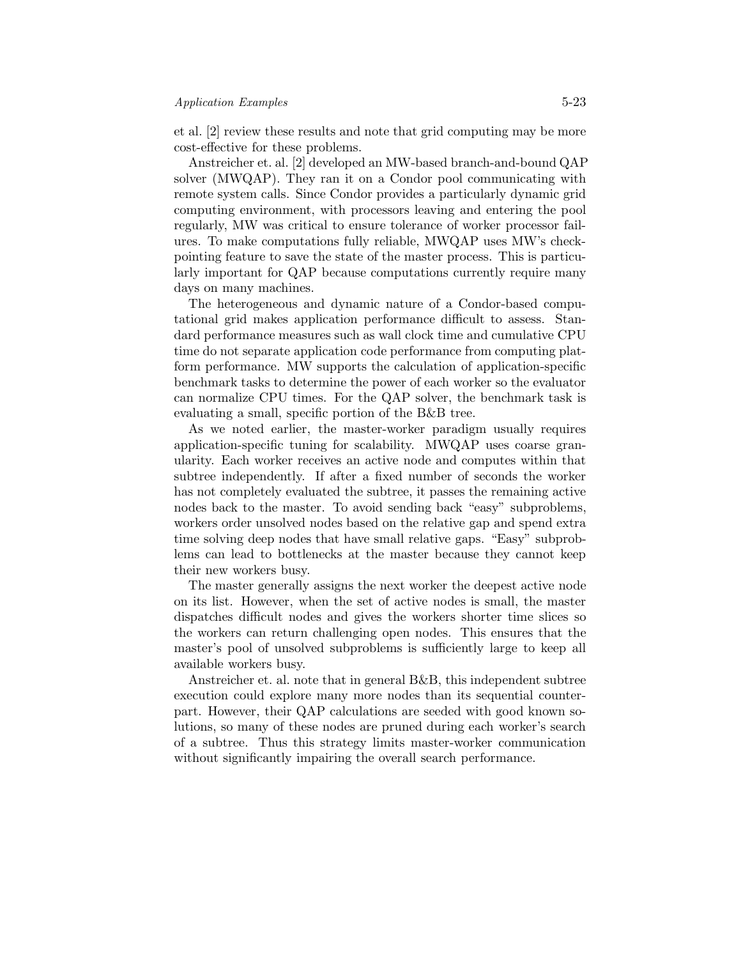et al. [2] review these results and note that grid computing may be more cost-effective for these problems.

Anstreicher et. al. [2] developed an MW-based branch-and-bound QAP solver (MWQAP). They ran it on a Condor pool communicating with remote system calls. Since Condor provides a particularly dynamic grid computing environment, with processors leaving and entering the pool regularly, MW was critical to ensure tolerance of worker processor failures. To make computations fully reliable, MWQAP uses MW's checkpointing feature to save the state of the master process. This is particularly important for QAP because computations currently require many days on many machines.

The heterogeneous and dynamic nature of a Condor-based computational grid makes application performance difficult to assess. Standard performance measures such as wall clock time and cumulative CPU time do not separate application code performance from computing platform performance. MW supports the calculation of application-specific benchmark tasks to determine the power of each worker so the evaluator can normalize CPU times. For the QAP solver, the benchmark task is evaluating a small, specific portion of the B&B tree.

As we noted earlier, the master-worker paradigm usually requires application-specific tuning for scalability. MWQAP uses coarse granularity. Each worker receives an active node and computes within that subtree independently. If after a fixed number of seconds the worker has not completely evaluated the subtree, it passes the remaining active nodes back to the master. To avoid sending back "easy" subproblems, workers order unsolved nodes based on the relative gap and spend extra time solving deep nodes that have small relative gaps. "Easy" subproblems can lead to bottlenecks at the master because they cannot keep their new workers busy.

The master generally assigns the next worker the deepest active node on its list. However, when the set of active nodes is small, the master dispatches difficult nodes and gives the workers shorter time slices so the workers can return challenging open nodes. This ensures that the master's pool of unsolved subproblems is sufficiently large to keep all available workers busy.

Anstreicher et. al. note that in general B&B, this independent subtree execution could explore many more nodes than its sequential counterpart. However, their QAP calculations are seeded with good known solutions, so many of these nodes are pruned during each worker's search of a subtree. Thus this strategy limits master-worker communication without significantly impairing the overall search performance.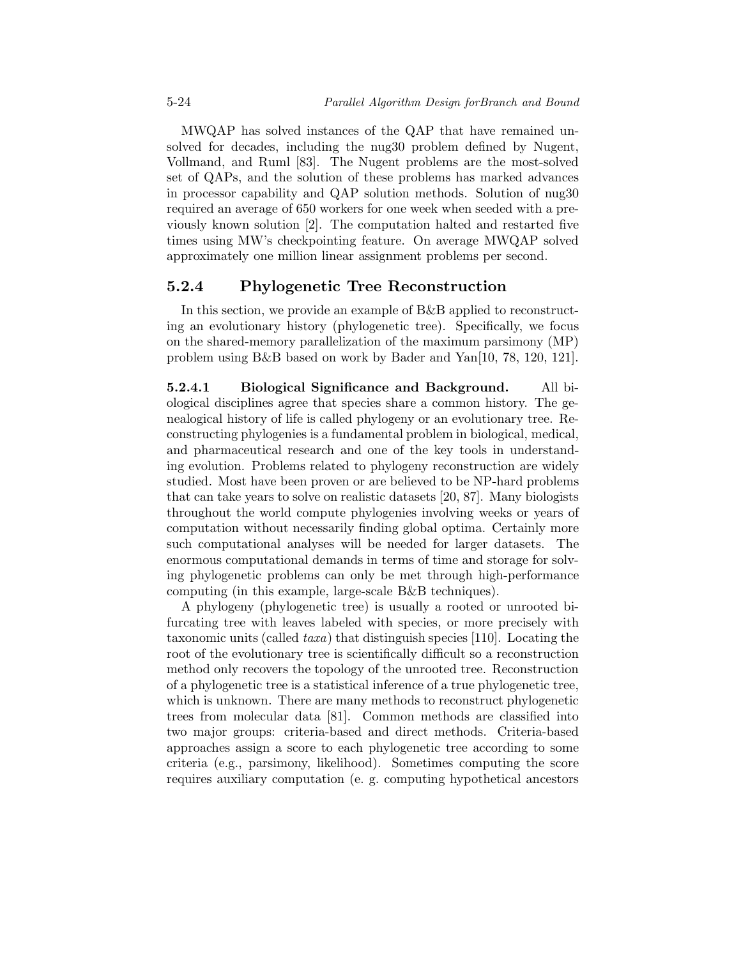MWQAP has solved instances of the QAP that have remained unsolved for decades, including the nug30 problem defined by Nugent, Vollmand, and Ruml [83]. The Nugent problems are the most-solved set of QAPs, and the solution of these problems has marked advances in processor capability and QAP solution methods. Solution of nug30 required an average of 650 workers for one week when seeded with a previously known solution [2]. The computation halted and restarted five times using MW's checkpointing feature. On average MWQAP solved approximately one million linear assignment problems per second.

## **5.2.4 Phylogenetic Tree Reconstruction**

In this section, we provide an example of B&B applied to reconstructing an evolutionary history (phylogenetic tree). Specifically, we focus on the shared-memory parallelization of the maximum parsimony (MP) problem using B&B based on work by Bader and Yan[10, 78, 120, 121].

**5.2.4.1 Biological Significance and Background.** All biological disciplines agree that species share a common history. The genealogical history of life is called phylogeny or an evolutionary tree. Reconstructing phylogenies is a fundamental problem in biological, medical, and pharmaceutical research and one of the key tools in understanding evolution. Problems related to phylogeny reconstruction are widely studied. Most have been proven or are believed to be NP-hard problems that can take years to solve on realistic datasets [20, 87]. Many biologists throughout the world compute phylogenies involving weeks or years of computation without necessarily finding global optima. Certainly more such computational analyses will be needed for larger datasets. The enormous computational demands in terms of time and storage for solving phylogenetic problems can only be met through high-performance computing (in this example, large-scale B&B techniques).

A phylogeny (phylogenetic tree) is usually a rooted or unrooted bifurcating tree with leaves labeled with species, or more precisely with taxonomic units (called *taxa*) that distinguish species [110]. Locating the root of the evolutionary tree is scientifically difficult so a reconstruction method only recovers the topology of the unrooted tree. Reconstruction of a phylogenetic tree is a statistical inference of a true phylogenetic tree, which is unknown. There are many methods to reconstruct phylogenetic trees from molecular data [81]. Common methods are classified into two major groups: criteria-based and direct methods. Criteria-based approaches assign a score to each phylogenetic tree according to some criteria (e.g., parsimony, likelihood). Sometimes computing the score requires auxiliary computation (e. g. computing hypothetical ancestors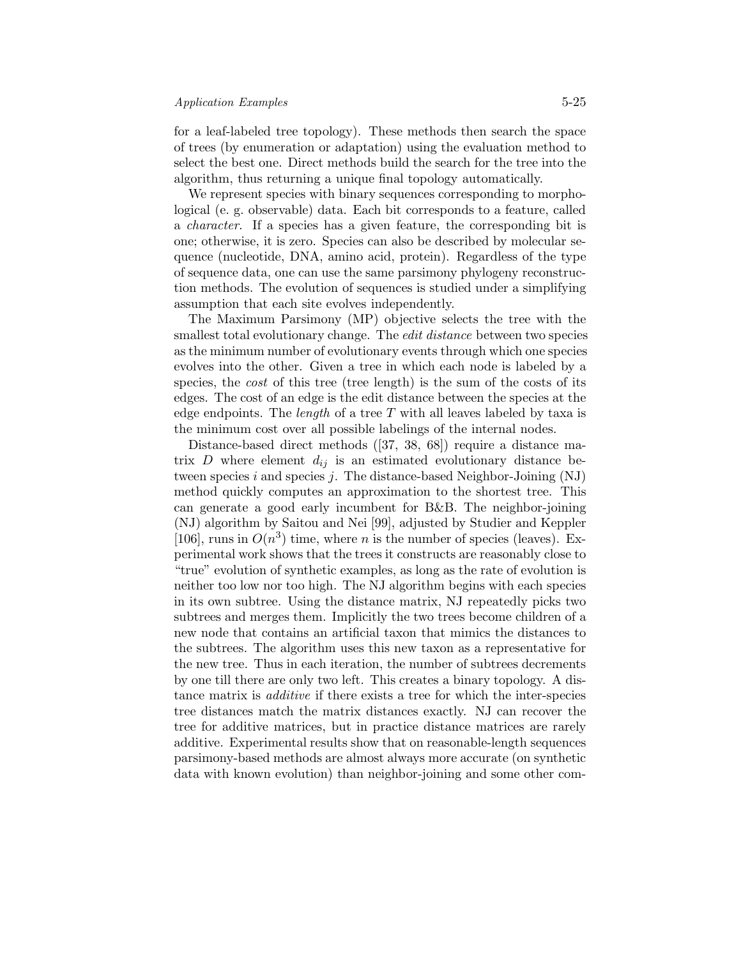for a leaf-labeled tree topology). These methods then search the space of trees (by enumeration or adaptation) using the evaluation method to select the best one. Direct methods build the search for the tree into the algorithm, thus returning a unique final topology automatically.

We represent species with binary sequences corresponding to morphological (e. g. observable) data. Each bit corresponds to a feature, called a *character*. If a species has a given feature, the corresponding bit is one; otherwise, it is zero. Species can also be described by molecular sequence (nucleotide, DNA, amino acid, protein). Regardless of the type of sequence data, one can use the same parsimony phylogeny reconstruction methods. The evolution of sequences is studied under a simplifying assumption that each site evolves independently.

The Maximum Parsimony (MP) objective selects the tree with the smallest total evolutionary change. The *edit distance* between two species as the minimum number of evolutionary events through which one species evolves into the other. Given a tree in which each node is labeled by a species, the *cost* of this tree (tree length) is the sum of the costs of its edges. The cost of an edge is the edit distance between the species at the edge endpoints. The *length* of a tree T with all leaves labeled by taxa is the minimum cost over all possible labelings of the internal nodes.

Distance-based direct methods ([37, 38, 68]) require a distance matrix D where element  $d_{ij}$  is an estimated evolutionary distance between species  $i$  and species  $j$ . The distance-based Neighbor-Joining  $(NJ)$ method quickly computes an approximation to the shortest tree. This can generate a good early incumbent for B&B. The neighbor-joining (NJ) algorithm by Saitou and Nei [99], adjusted by Studier and Keppler [106], runs in  $O(n^3)$  time, where *n* is the number of species (leaves). Experimental work shows that the trees it constructs are reasonably close to "true" evolution of synthetic examples, as long as the rate of evolution is neither too low nor too high. The NJ algorithm begins with each species in its own subtree. Using the distance matrix, NJ repeatedly picks two subtrees and merges them. Implicitly the two trees become children of a new node that contains an artificial taxon that mimics the distances to the subtrees. The algorithm uses this new taxon as a representative for the new tree. Thus in each iteration, the number of subtrees decrements by one till there are only two left. This creates a binary topology. A distance matrix is *additive* if there exists a tree for which the inter-species tree distances match the matrix distances exactly. NJ can recover the tree for additive matrices, but in practice distance matrices are rarely additive. Experimental results show that on reasonable-length sequences parsimony-based methods are almost always more accurate (on synthetic data with known evolution) than neighbor-joining and some other com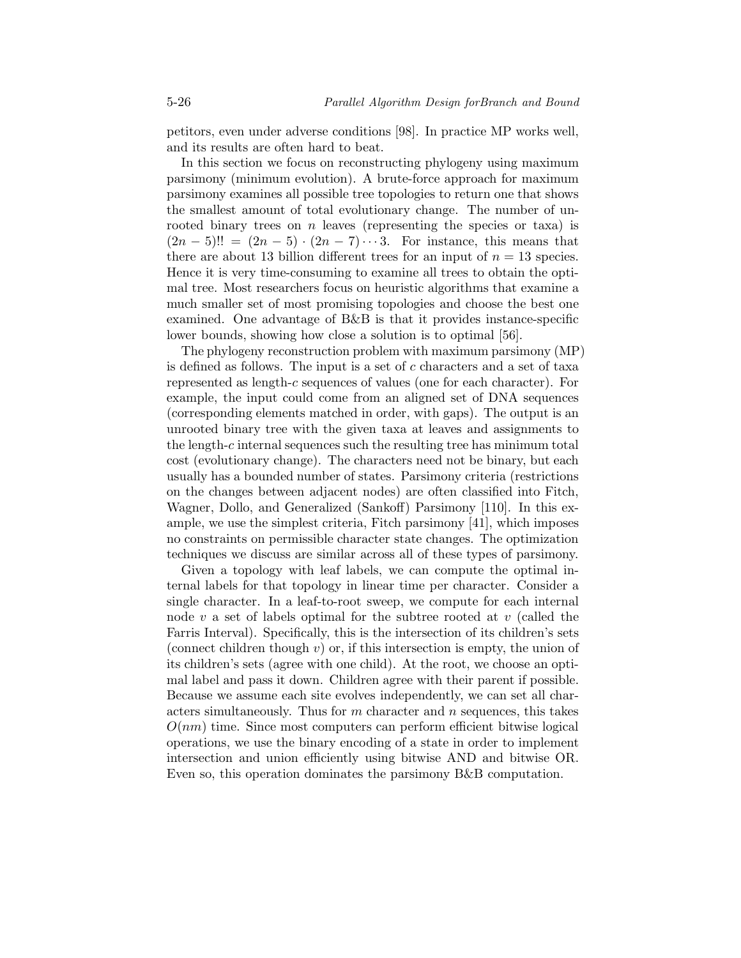petitors, even under adverse conditions [98]. In practice MP works well, and its results are often hard to beat.

In this section we focus on reconstructing phylogeny using maximum parsimony (minimum evolution). A brute-force approach for maximum parsimony examines all possible tree topologies to return one that shows the smallest amount of total evolutionary change. The number of unrooted binary trees on  $n$  leaves (representing the species or taxa) is  $(2n-5)!! = (2n-5) \cdot (2n-7) \cdots 3$ . For instance, this means that there are about 13 billion different trees for an input of  $n = 13$  species. Hence it is very time-consuming to examine all trees to obtain the optimal tree. Most researchers focus on heuristic algorithms that examine a much smaller set of most promising topologies and choose the best one examined. One advantage of B&B is that it provides instance-specific lower bounds, showing how close a solution is to optimal [56].

The phylogeny reconstruction problem with maximum parsimony (MP) is defined as follows. The input is a set of c characters and a set of taxa represented as length-c sequences of values (one for each character). For example, the input could come from an aligned set of DNA sequences (corresponding elements matched in order, with gaps). The output is an unrooted binary tree with the given taxa at leaves and assignments to the length-c internal sequences such the resulting tree has minimum total cost (evolutionary change). The characters need not be binary, but each usually has a bounded number of states. Parsimony criteria (restrictions on the changes between adjacent nodes) are often classified into Fitch, Wagner, Dollo, and Generalized (Sankoff) Parsimony [110]. In this example, we use the simplest criteria, Fitch parsimony [41], which imposes no constraints on permissible character state changes. The optimization techniques we discuss are similar across all of these types of parsimony.

Given a topology with leaf labels, we can compute the optimal internal labels for that topology in linear time per character. Consider a single character. In a leaf-to-root sweep, we compute for each internal node  $v$  a set of labels optimal for the subtree rooted at  $v$  (called the Farris Interval). Specifically, this is the intersection of its children's sets (connect children though  $v$ ) or, if this intersection is empty, the union of its children's sets (agree with one child). At the root, we choose an optimal label and pass it down. Children agree with their parent if possible. Because we assume each site evolves independently, we can set all characters simultaneously. Thus for  $m$  character and  $n$  sequences, this takes  $O(nm)$  time. Since most computers can perform efficient bitwise logical operations, we use the binary encoding of a state in order to implement intersection and union efficiently using bitwise AND and bitwise OR. Even so, this operation dominates the parsimony B&B computation.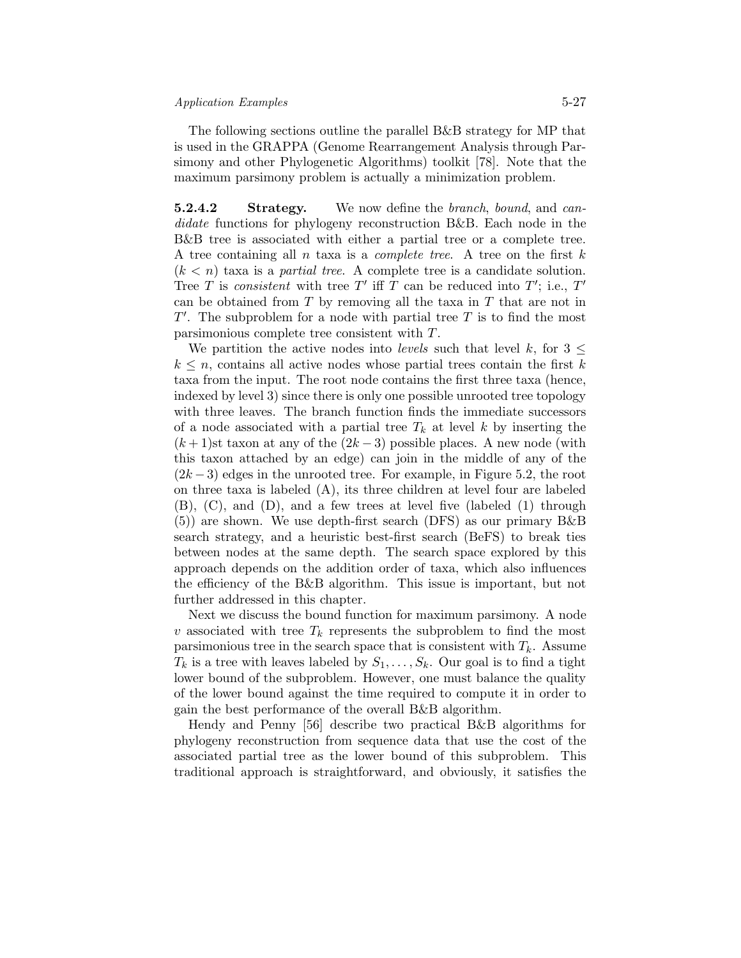The following sections outline the parallel B&B strategy for MP that is used in the GRAPPA (Genome Rearrangement Analysis through Parsimony and other Phylogenetic Algorithms) toolkit [78]. Note that the maximum parsimony problem is actually a minimization problem.

**5.2.4.2 Strategy.** We now define the *branch*, *bound*, and *candidate* functions for phylogeny reconstruction B&B. Each node in the B&B tree is associated with either a partial tree or a complete tree. A tree containing all n taxa is a *complete tree*. A tree on the first k  $(k < n)$  taxa is a *partial tree*. A complete tree is a candidate solution. Tree  $T$  is *consistent* with tree  $T'$  iff  $T$  can be reduced into  $T'$ ; i.e.,  $T'$ can be obtained from  $T$  by removing all the taxa in  $T$  that are not in  $T'$ . The subproblem for a node with partial tree T is to find the most parsimonious complete tree consistent with T.

We partition the active nodes into *levels* such that level k, for  $3 \leq$  $k \leq n$ , contains all active nodes whose partial trees contain the first k taxa from the input. The root node contains the first three taxa (hence, indexed by level 3) since there is only one possible unrooted tree topology with three leaves. The branch function finds the immediate successors of a node associated with a partial tree  $T_k$  at level k by inserting the  $(k+1)$ st taxon at any of the  $(2k-3)$  possible places. A new node (with this taxon attached by an edge) can join in the middle of any of the  $(2k-3)$  edges in the unrooted tree. For example, in Figure 5.2, the root on three taxa is labeled (A), its three children at level four are labeled (B), (C), and (D), and a few trees at level five (labeled (1) through (5)) are shown. We use depth-first search (DFS) as our primary B&B search strategy, and a heuristic best-first search (BeFS) to break ties between nodes at the same depth. The search space explored by this approach depends on the addition order of taxa, which also influences the efficiency of the B&B algorithm. This issue is important, but not further addressed in this chapter.

Next we discuss the bound function for maximum parsimony. A node v associated with tree  $T_k$  represents the subproblem to find the most parsimonious tree in the search space that is consistent with  $T_k$ . Assume  $T_k$  is a tree with leaves labeled by  $S_1, \ldots, S_k$ . Our goal is to find a tight lower bound of the subproblem. However, one must balance the quality of the lower bound against the time required to compute it in order to gain the best performance of the overall B&B algorithm.

Hendy and Penny [56] describe two practical B&B algorithms for phylogeny reconstruction from sequence data that use the cost of the associated partial tree as the lower bound of this subproblem. This traditional approach is straightforward, and obviously, it satisfies the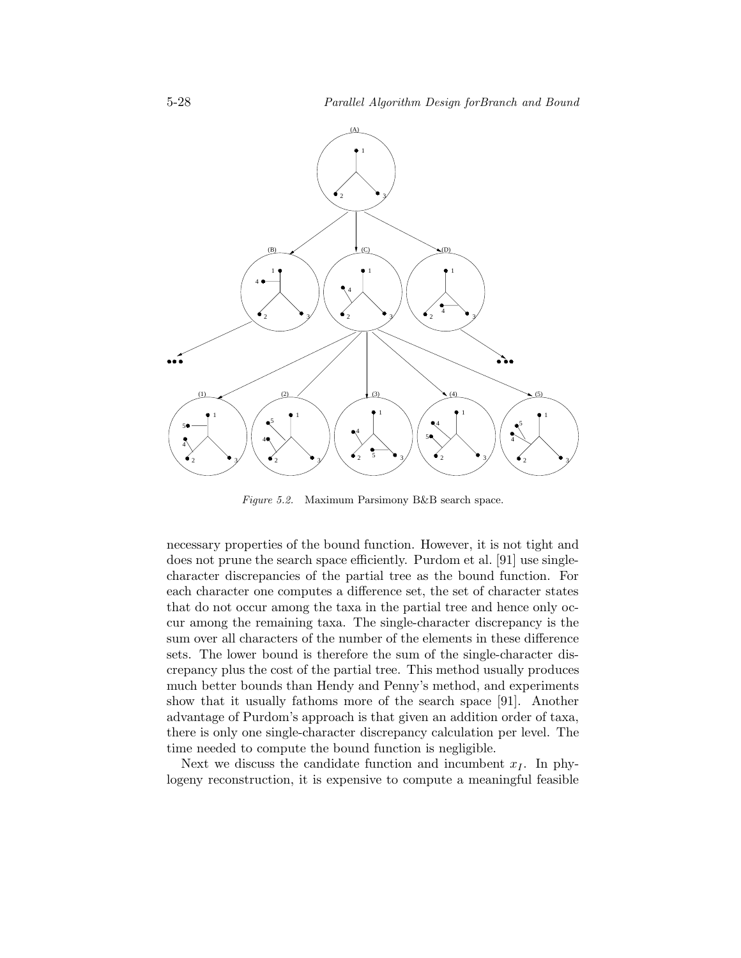

*Figure 5.2.* Maximum Parsimony B&B search space.

necessary properties of the bound function. However, it is not tight and does not prune the search space efficiently. Purdom et al. [91] use singlecharacter discrepancies of the partial tree as the bound function. For each character one computes a difference set, the set of character states that do not occur among the taxa in the partial tree and hence only occur among the remaining taxa. The single-character discrepancy is the sum over all characters of the number of the elements in these difference sets. The lower bound is therefore the sum of the single-character discrepancy plus the cost of the partial tree. This method usually produces much better bounds than Hendy and Penny's method, and experiments show that it usually fathoms more of the search space [91]. Another advantage of Purdom's approach is that given an addition order of taxa, there is only one single-character discrepancy calculation per level. The time needed to compute the bound function is negligible.

Next we discuss the candidate function and incumbent  $x_I$ . In phylogeny reconstruction, it is expensive to compute a meaningful feasible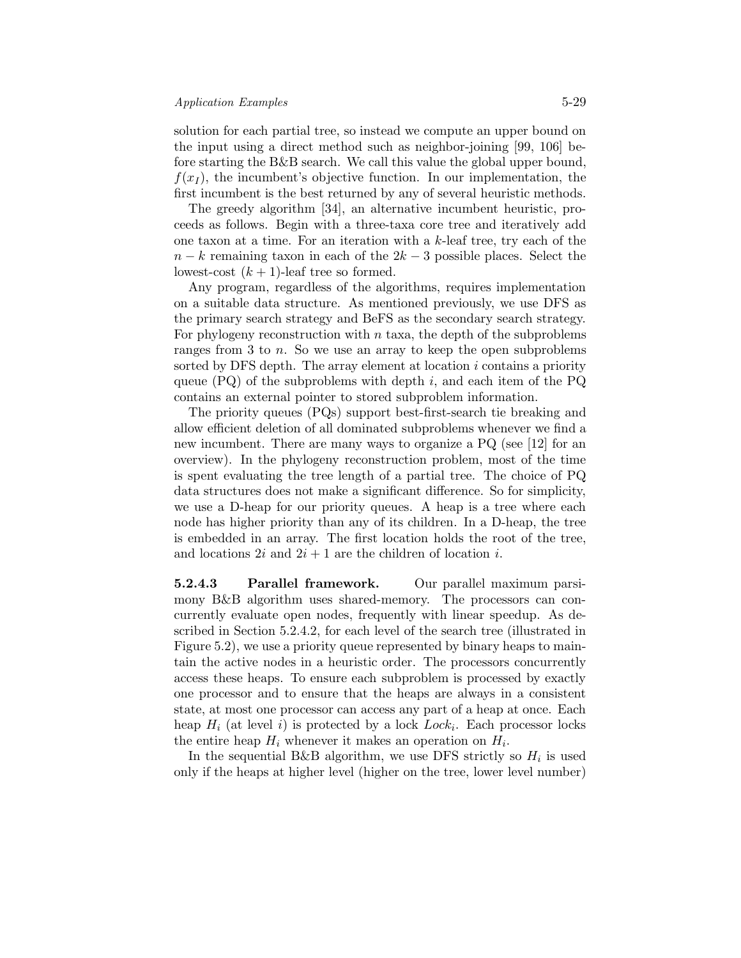solution for each partial tree, so instead we compute an upper bound on the input using a direct method such as neighbor-joining [99, 106] before starting the B&B search. We call this value the global upper bound,  $f(x_I)$ , the incumbent's objective function. In our implementation, the first incumbent is the best returned by any of several heuristic methods.

The greedy algorithm [34], an alternative incumbent heuristic, proceeds as follows. Begin with a three-taxa core tree and iteratively add one taxon at a time. For an iteration with a k-leaf tree, try each of the  $n - k$  remaining taxon in each of the  $2k - 3$  possible places. Select the lowest-cost  $(k + 1)$ -leaf tree so formed.

Any program, regardless of the algorithms, requires implementation on a suitable data structure. As mentioned previously, we use DFS as the primary search strategy and BeFS as the secondary search strategy. For phylogeny reconstruction with  $n$  taxa, the depth of the subproblems ranges from 3 to n. So we use an array to keep the open subproblems sorted by DFS depth. The array element at location i contains a priority queue  $(PQ)$  of the subproblems with depth i, and each item of the PQ contains an external pointer to stored subproblem information.

The priority queues (PQs) support best-first-search tie breaking and allow efficient deletion of all dominated subproblems whenever we find a new incumbent. There are many ways to organize a PQ (see [12] for an overview). In the phylogeny reconstruction problem, most of the time is spent evaluating the tree length of a partial tree. The choice of PQ data structures does not make a significant difference. So for simplicity, we use a D-heap for our priority queues. A heap is a tree where each node has higher priority than any of its children. In a D-heap, the tree is embedded in an array. The first location holds the root of the tree, and locations 2i and  $2i + 1$  are the children of location i.

**5.2.4.3 Parallel framework.** Our parallel maximum parsimony B&B algorithm uses shared-memory. The processors can concurrently evaluate open nodes, frequently with linear speedup. As described in Section 5.2.4.2, for each level of the search tree (illustrated in Figure 5.2), we use a priority queue represented by binary heaps to maintain the active nodes in a heuristic order. The processors concurrently access these heaps. To ensure each subproblem is processed by exactly one processor and to ensure that the heaps are always in a consistent state, at most one processor can access any part of a heap at once. Each heap  $H_i$  (at level i) is protected by a lock Lock<sub>i</sub>. Each processor locks the entire heap  $H_i$  whenever it makes an operation on  $H_i$ .

In the sequential B&B algorithm, we use DFS strictly so  $H_i$  is used only if the heaps at higher level (higher on the tree, lower level number)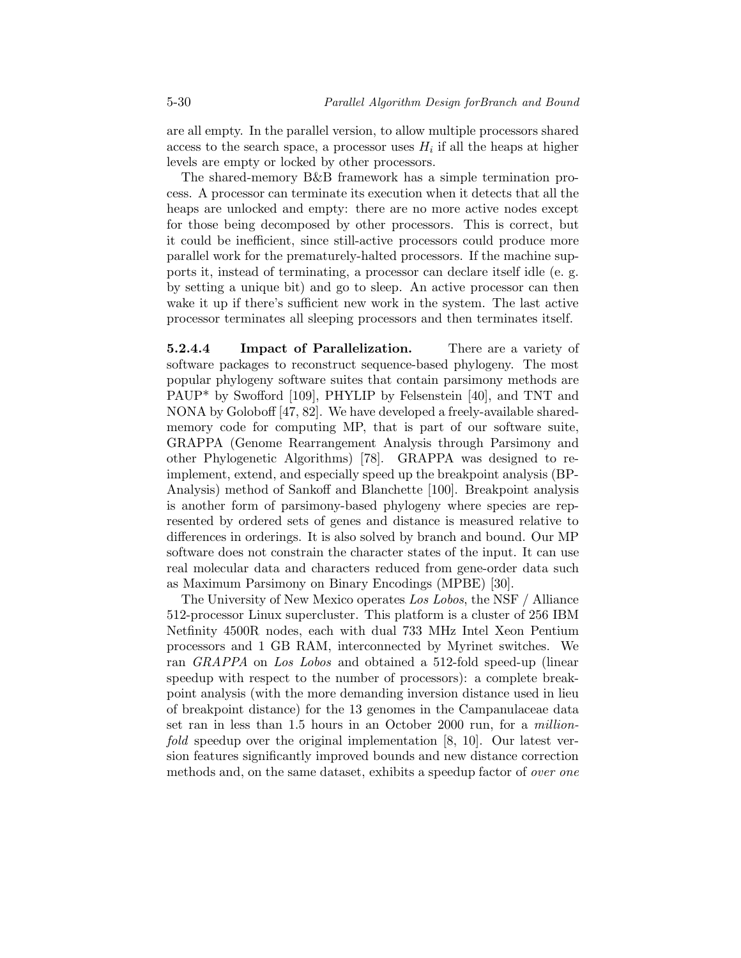are all empty. In the parallel version, to allow multiple processors shared access to the search space, a processor uses  $H_i$  if all the heaps at higher levels are empty or locked by other processors.

The shared-memory B&B framework has a simple termination process. A processor can terminate its execution when it detects that all the heaps are unlocked and empty: there are no more active nodes except for those being decomposed by other processors. This is correct, but it could be inefficient, since still-active processors could produce more parallel work for the prematurely-halted processors. If the machine supports it, instead of terminating, a processor can declare itself idle (e. g. by setting a unique bit) and go to sleep. An active processor can then wake it up if there's sufficient new work in the system. The last active processor terminates all sleeping processors and then terminates itself.

**5.2.4.4 Impact of Parallelization.** There are a variety of software packages to reconstruct sequence-based phylogeny. The most popular phylogeny software suites that contain parsimony methods are PAUP\* by Swofford [109], PHYLIP by Felsenstein [40], and TNT and NONA by Goloboff [47, 82]. We have developed a freely-available sharedmemory code for computing MP, that is part of our software suite, GRAPPA (Genome Rearrangement Analysis through Parsimony and other Phylogenetic Algorithms) [78]. GRAPPA was designed to reimplement, extend, and especially speed up the breakpoint analysis (BP-Analysis) method of Sankoff and Blanchette [100]. Breakpoint analysis is another form of parsimony-based phylogeny where species are represented by ordered sets of genes and distance is measured relative to differences in orderings. It is also solved by branch and bound. Our MP software does not constrain the character states of the input. It can use real molecular data and characters reduced from gene-order data such as Maximum Parsimony on Binary Encodings (MPBE) [30].

The University of New Mexico operates *Los Lobos*, the NSF / Alliance 512-processor Linux supercluster. This platform is a cluster of 256 IBM Netfinity 4500R nodes, each with dual 733 MHz Intel Xeon Pentium processors and 1 GB RAM, interconnected by Myrinet switches. We ran *GRAPPA* on *Los Lobos* and obtained a 512-fold speed-up (linear speedup with respect to the number of processors): a complete breakpoint analysis (with the more demanding inversion distance used in lieu of breakpoint distance) for the 13 genomes in the Campanulaceae data set ran in less than 1.5 hours in an October 2000 run, for a *millionfold* speedup over the original implementation [8, 10]. Our latest version features significantly improved bounds and new distance correction methods and, on the same dataset, exhibits a speedup factor of *over one*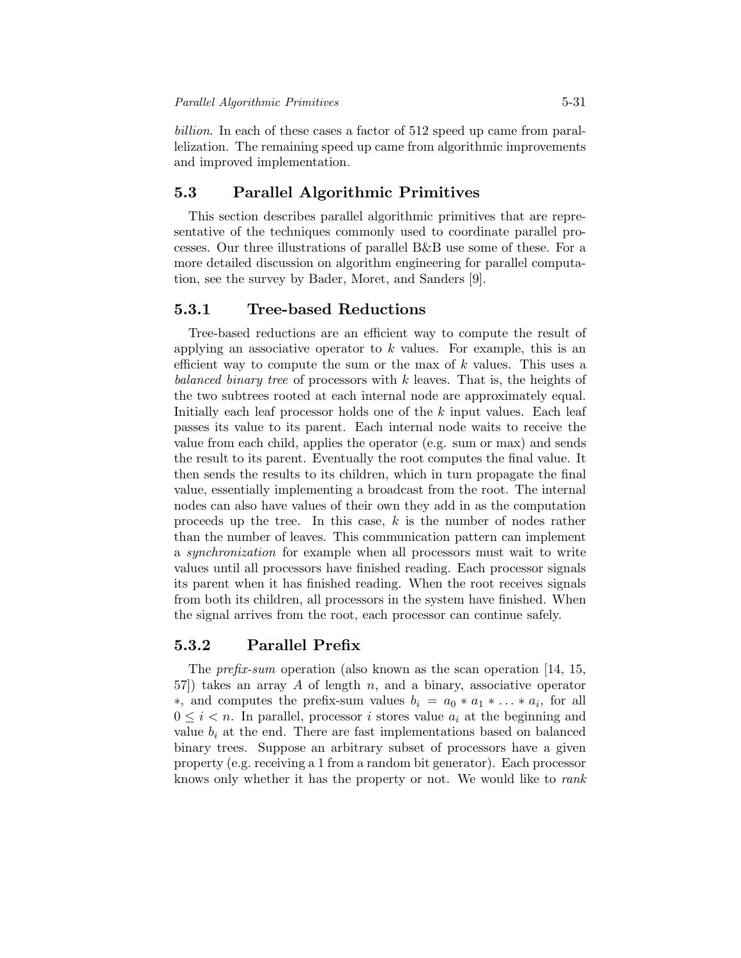*billion*. In each of these cases a factor of 512 speed up came from parallelization. The remaining speed up came from algorithmic improvements and improved implementation.

# **5.3 Parallel Algorithmic Primitives**

This section describes parallel algorithmic primitives that are representative of the techniques commonly used to coordinate parallel processes. Our three illustrations of parallel B&B use some of these. For a more detailed discussion on algorithm engineering for parallel computation, see the survey by Bader, Moret, and Sanders [9].

#### **5.3.1 Tree-based Reductions**

Tree-based reductions are an efficient way to compute the result of applying an associative operator to  $k$  values. For example, this is an efficient way to compute the sum or the max of  $k$  values. This uses a *balanced binary tree* of processors with k leaves. That is, the heights of the two subtrees rooted at each internal node are approximately equal. Initially each leaf processor holds one of the  $k$  input values. Each leaf passes its value to its parent. Each internal node waits to receive the value from each child, applies the operator (e.g. sum or max) and sends the result to its parent. Eventually the root computes the final value. It then sends the results to its children, which in turn propagate the final value, essentially implementing a broadcast from the root. The internal nodes can also have values of their own they add in as the computation proceeds up the tree. In this case,  $k$  is the number of nodes rather than the number of leaves. This communication pattern can implement a *synchronization* for example when all processors must wait to write values until all processors have finished reading. Each processor signals its parent when it has finished reading. When the root receives signals from both its children, all processors in the system have finished. When the signal arrives from the root, each processor can continue safely.

#### **5.3.2 Parallel Prefix**

The *prefix-sum* operation (also known as the scan operation [14, 15,  $57$ ) takes an array A of length n, and a binary, associative operator ∗, and computes the prefix-sum values  $b_i = a_0 * a_1 * \ldots * a_i$ , for all  $0 \leq i \leq n$ . In parallel, processor i stores value  $a_i$  at the beginning and value  $b_i$  at the end. There are fast implementations based on balanced binary trees. Suppose an arbitrary subset of processors have a given property (e.g. receiving a 1 from a random bit generator). Each processor knows only whether it has the property or not. We would like to *rank*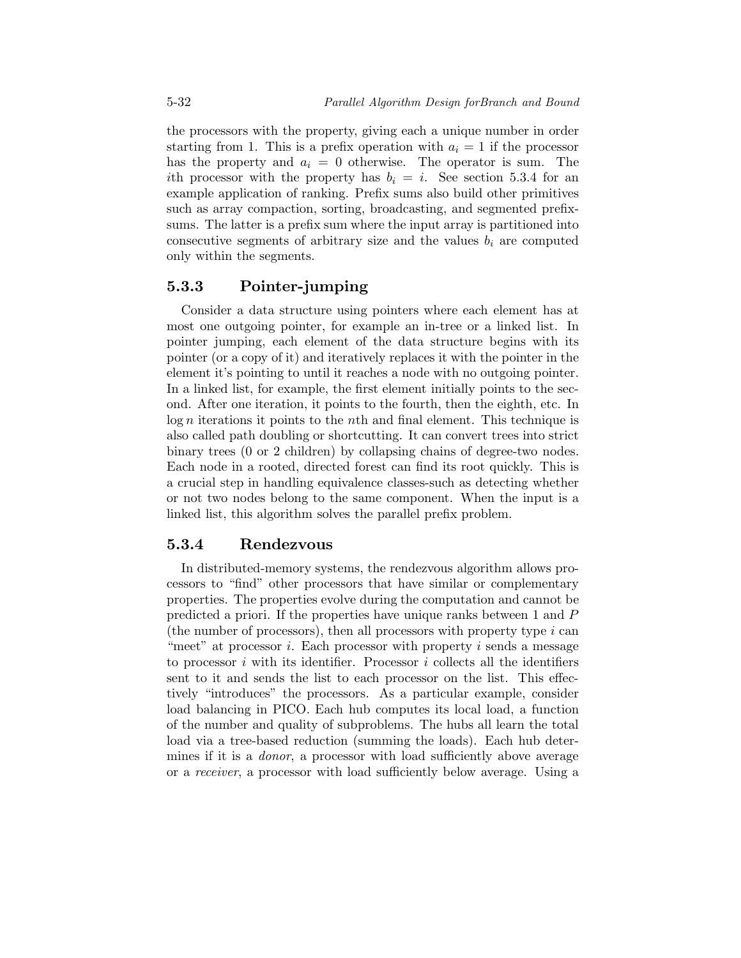the processors with the property, giving each a unique number in order starting from 1. This is a prefix operation with  $a_i = 1$  if the processor has the property and  $a_i = 0$  otherwise. The operator is sum. The ith processor with the property has  $b_i = i$ . See section 5.3.4 for an example application of ranking. Prefix sums also build other primitives such as array compaction, sorting, broadcasting, and segmented prefixsums. The latter is a prefix sum where the input array is partitioned into consecutive segments of arbitrary size and the values  $b_i$  are computed only within the segments.

## **5.3.3 Pointer-jumping**

Consider a data structure using pointers where each element has at most one outgoing pointer, for example an in-tree or a linked list. In pointer jumping, each element of the data structure begins with its pointer (or a copy of it) and iteratively replaces it with the pointer in the element it's pointing to until it reaches a node with no outgoing pointer. In a linked list, for example, the first element initially points to the second. After one iteration, it points to the fourth, then the eighth, etc. In  $log n$  iterations it points to the *n*th and final element. This technique is also called path doubling or shortcutting. It can convert trees into strict binary trees (0 or 2 children) by collapsing chains of degree-two nodes. Each node in a rooted, directed forest can find its root quickly. This is a crucial step in handling equivalence classes-such as detecting whether or not two nodes belong to the same component. When the input is a linked list, this algorithm solves the parallel prefix problem.

## **5.3.4 Rendezvous**

In distributed-memory systems, the rendezvous algorithm allows processors to "find" other processors that have similar or complementary properties. The properties evolve during the computation and cannot be predicted a priori. If the properties have unique ranks between 1 and P (the number of processors), then all processors with property type  $i$  can "meet" at processor  $i$ . Each processor with property i sends a message to processor  $i$  with its identifier. Processor  $i$  collects all the identifiers sent to it and sends the list to each processor on the list. This effectively "introduces" the processors. As a particular example, consider load balancing in PICO. Each hub computes its local load, a function of the number and quality of subproblems. The hubs all learn the total load via a tree-based reduction (summing the loads). Each hub determines if it is a *donor*, a processor with load sufficiently above average or a *receiver*, a processor with load sufficiently below average. Using a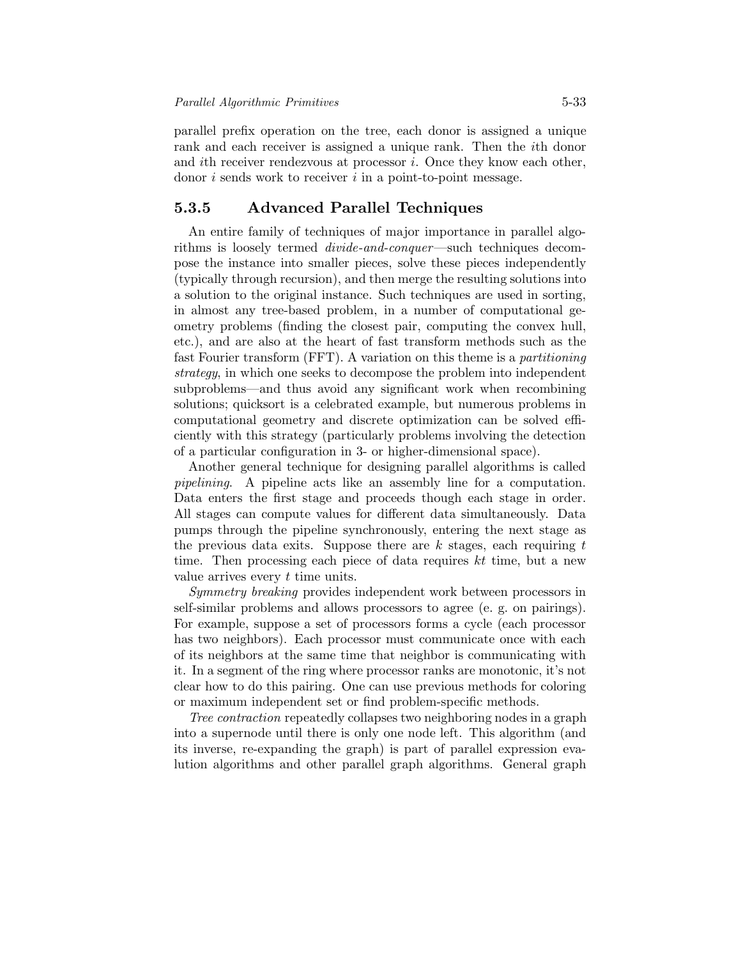parallel prefix operation on the tree, each donor is assigned a unique rank and each receiver is assigned a unique rank. Then the ith donor and ith receiver rendezvous at processor  $i$ . Once they know each other, donor  $i$  sends work to receiver  $i$  in a point-to-point message.

## **5.3.5 Advanced Parallel Techniques**

An entire family of techniques of major importance in parallel algorithms is loosely termed *divide-and-conquer*—such techniques decompose the instance into smaller pieces, solve these pieces independently (typically through recursion), and then merge the resulting solutions into a solution to the original instance. Such techniques are used in sorting, in almost any tree-based problem, in a number of computational geometry problems (finding the closest pair, computing the convex hull, etc.), and are also at the heart of fast transform methods such as the fast Fourier transform (FFT). A variation on this theme is a *partitioning strategy*, in which one seeks to decompose the problem into independent subproblems—and thus avoid any significant work when recombining solutions; quicksort is a celebrated example, but numerous problems in computational geometry and discrete optimization can be solved efficiently with this strategy (particularly problems involving the detection of a particular configuration in 3- or higher-dimensional space).

Another general technique for designing parallel algorithms is called *pipelining*. A pipeline acts like an assembly line for a computation. Data enters the first stage and proceeds though each stage in order. All stages can compute values for different data simultaneously. Data pumps through the pipeline synchronously, entering the next stage as the previous data exits. Suppose there are  $k$  stages, each requiring  $t$ time. Then processing each piece of data requires  $kt$  time, but a new value arrives every  $t$  time units.

*Symmetry breaking* provides independent work between processors in self-similar problems and allows processors to agree (e. g. on pairings). For example, suppose a set of processors forms a cycle (each processor has two neighbors). Each processor must communicate once with each of its neighbors at the same time that neighbor is communicating with it. In a segment of the ring where processor ranks are monotonic, it's not clear how to do this pairing. One can use previous methods for coloring or maximum independent set or find problem-specific methods.

*Tree contraction* repeatedly collapses two neighboring nodes in a graph into a supernode until there is only one node left. This algorithm (and its inverse, re-expanding the graph) is part of parallel expression evalution algorithms and other parallel graph algorithms. General graph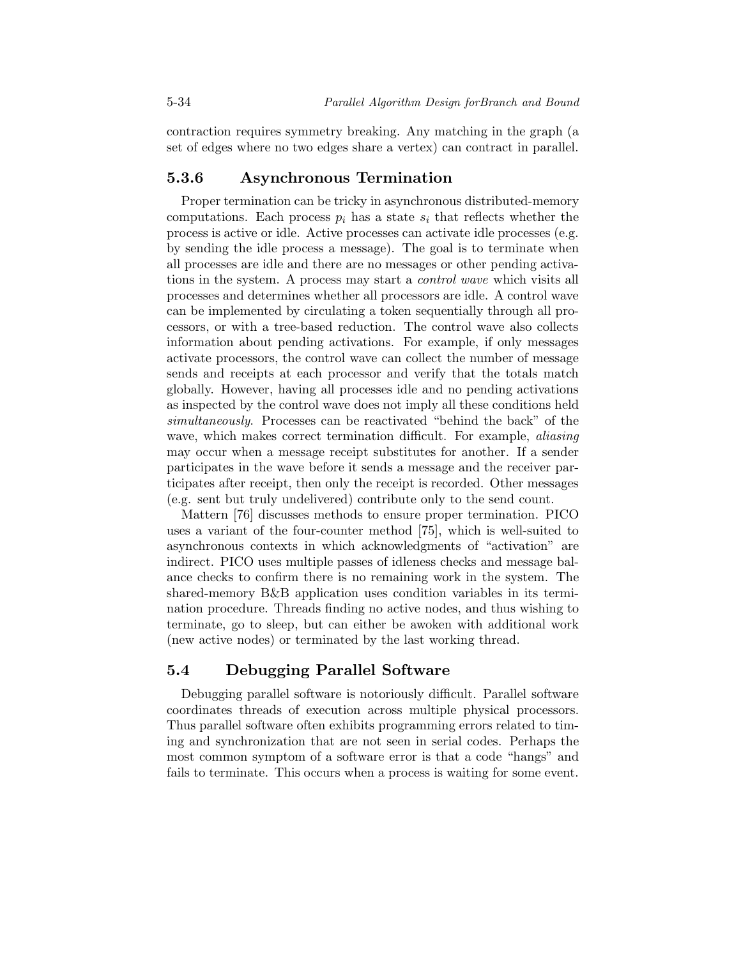contraction requires symmetry breaking. Any matching in the graph (a set of edges where no two edges share a vertex) can contract in parallel.

## **5.3.6 Asynchronous Termination**

Proper termination can be tricky in asynchronous distributed-memory computations. Each process  $p_i$  has a state  $s_i$  that reflects whether the process is active or idle. Active processes can activate idle processes (e.g. by sending the idle process a message). The goal is to terminate when all processes are idle and there are no messages or other pending activations in the system. A process may start a *control wave* which visits all processes and determines whether all processors are idle. A control wave can be implemented by circulating a token sequentially through all processors, or with a tree-based reduction. The control wave also collects information about pending activations. For example, if only messages activate processors, the control wave can collect the number of message sends and receipts at each processor and verify that the totals match globally. However, having all processes idle and no pending activations as inspected by the control wave does not imply all these conditions held *simultaneously*. Processes can be reactivated "behind the back" of the wave, which makes correct termination difficult. For example, *aliasing* may occur when a message receipt substitutes for another. If a sender participates in the wave before it sends a message and the receiver participates after receipt, then only the receipt is recorded. Other messages (e.g. sent but truly undelivered) contribute only to the send count.

Mattern [76] discusses methods to ensure proper termination. PICO uses a variant of the four-counter method [75], which is well-suited to asynchronous contexts in which acknowledgments of "activation" are indirect. PICO uses multiple passes of idleness checks and message balance checks to confirm there is no remaining work in the system. The shared-memory B&B application uses condition variables in its termination procedure. Threads finding no active nodes, and thus wishing to terminate, go to sleep, but can either be awoken with additional work (new active nodes) or terminated by the last working thread.

## **5.4 Debugging Parallel Software**

Debugging parallel software is notoriously difficult. Parallel software coordinates threads of execution across multiple physical processors. Thus parallel software often exhibits programming errors related to timing and synchronization that are not seen in serial codes. Perhaps the most common symptom of a software error is that a code "hangs" and fails to terminate. This occurs when a process is waiting for some event.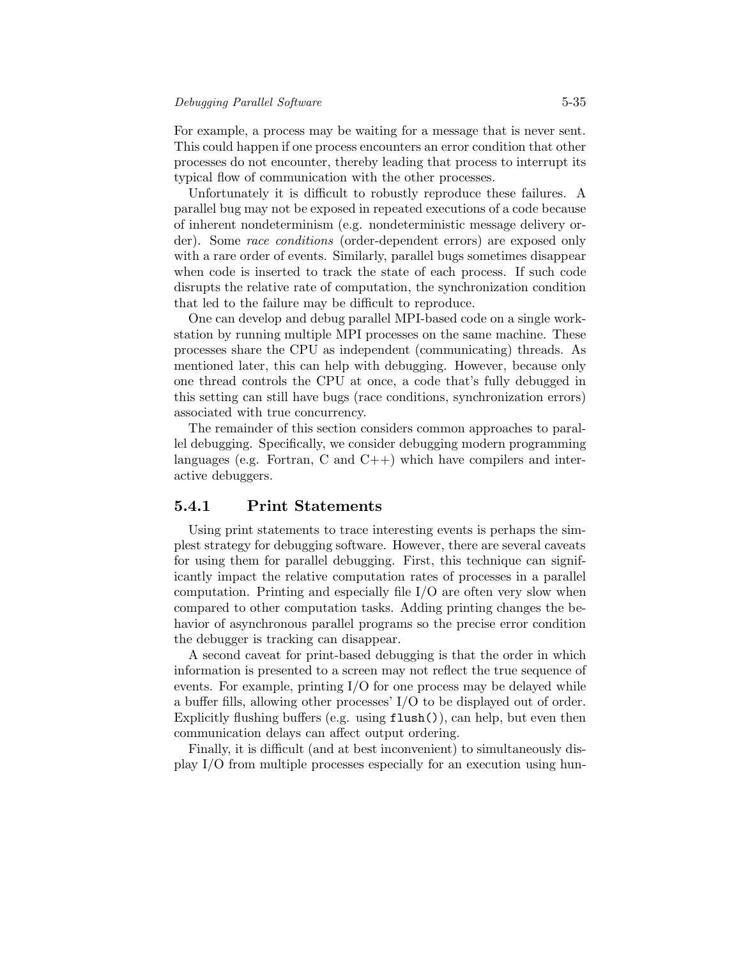For example, a process may be waiting for a message that is never sent. This could happen if one process encounters an error condition that other processes do not encounter, thereby leading that process to interrupt its typical flow of communication with the other processes.

Unfortunately it is difficult to robustly reproduce these failures. A parallel bug may not be exposed in repeated executions of a code because of inherent nondeterminism (e.g. nondeterministic message delivery order). Some *race conditions* (order-dependent errors) are exposed only with a rare order of events. Similarly, parallel bugs sometimes disappear when code is inserted to track the state of each process. If such code disrupts the relative rate of computation, the synchronization condition that led to the failure may be difficult to reproduce.

One can develop and debug parallel MPI-based code on a single workstation by running multiple MPI processes on the same machine. These processes share the CPU as independent (communicating) threads. As mentioned later, this can help with debugging. However, because only one thread controls the CPU at once, a code that's fully debugged in this setting can still have bugs (race conditions, synchronization errors) associated with true concurrency.

The remainder of this section considers common approaches to parallel debugging. Specifically, we consider debugging modern programming languages (e.g. Fortran, C and  $C_{++}$ ) which have compilers and interactive debuggers.

## **5.4.1 Print Statements**

Using print statements to trace interesting events is perhaps the simplest strategy for debugging software. However, there are several caveats for using them for parallel debugging. First, this technique can significantly impact the relative computation rates of processes in a parallel computation. Printing and especially file I/O are often very slow when compared to other computation tasks. Adding printing changes the behavior of asynchronous parallel programs so the precise error condition the debugger is tracking can disappear.

A second caveat for print-based debugging is that the order in which information is presented to a screen may not reflect the true sequence of events. For example, printing  $I/O$  for one process may be delayed while a buffer fills, allowing other processes' I/O to be displayed out of order. Explicitly flushing buffers (e.g. using  $flush()$ ), can help, but even then communication delays can affect output ordering.

Finally, it is difficult (and at best inconvenient) to simultaneously display I/O from multiple processes especially for an execution using hun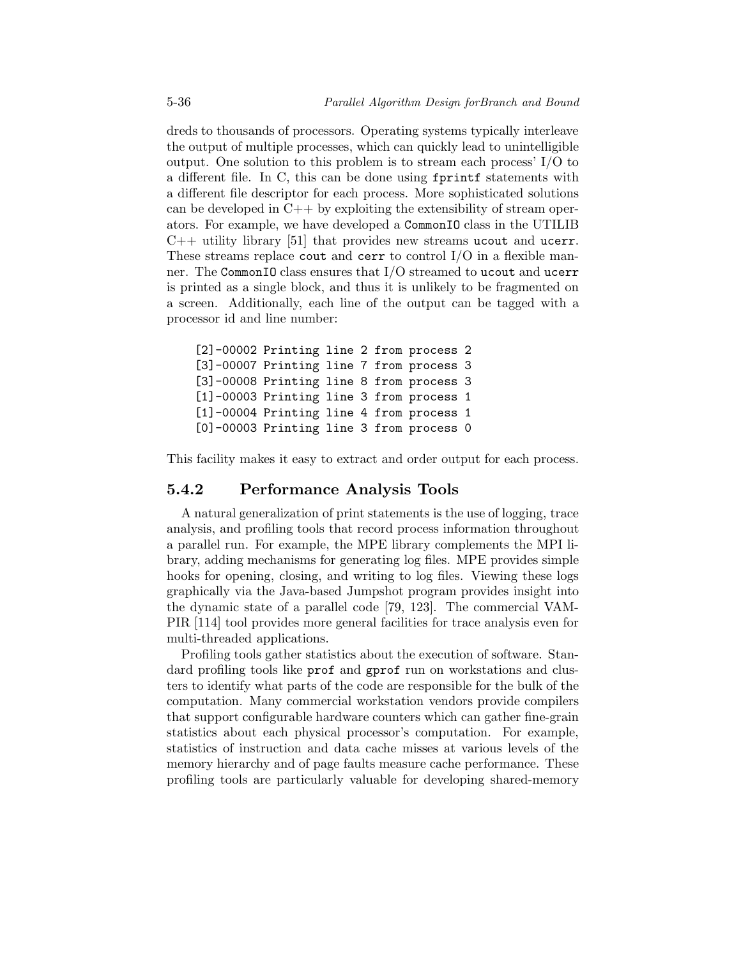dreds to thousands of processors. Operating systems typically interleave the output of multiple processes, which can quickly lead to unintelligible output. One solution to this problem is to stream each process' I/O to a different file. In C, this can be done using fprintf statements with a different file descriptor for each process. More sophisticated solutions can be developed in  $C++$  by exploiting the extensibility of stream operators. For example, we have developed a CommonIO class in the UTILIB  $C_{++}$  utility library [51] that provides new streams ucout and ucerr. These streams replace cout and cerr to control  $I/O$  in a flexible manner. The CommonIO class ensures that I/O streamed to ucout and ucerr is printed as a single block, and thus it is unlikely to be fragmented on a screen. Additionally, each line of the output can be tagged with a processor id and line number:

```
[2]-00002 Printing line 2 from process 2
[3]-00007 Printing line 7 from process 3
[3]-00008 Printing line 8 from process 3
[1]-00003 Printing line 3 from process 1
[1]-00004 Printing line 4 from process 1
[0]-00003 Printing line 3 from process 0
```
This facility makes it easy to extract and order output for each process.

### **5.4.2 Performance Analysis Tools**

A natural generalization of print statements is the use of logging, trace analysis, and profiling tools that record process information throughout a parallel run. For example, the MPE library complements the MPI library, adding mechanisms for generating log files. MPE provides simple hooks for opening, closing, and writing to log files. Viewing these logs graphically via the Java-based Jumpshot program provides insight into the dynamic state of a parallel code [79, 123]. The commercial VAM-PIR [114] tool provides more general facilities for trace analysis even for multi-threaded applications.

Profiling tools gather statistics about the execution of software. Standard profiling tools like prof and gprof run on workstations and clusters to identify what parts of the code are responsible for the bulk of the computation. Many commercial workstation vendors provide compilers that support configurable hardware counters which can gather fine-grain statistics about each physical processor's computation. For example, statistics of instruction and data cache misses at various levels of the memory hierarchy and of page faults measure cache performance. These profiling tools are particularly valuable for developing shared-memory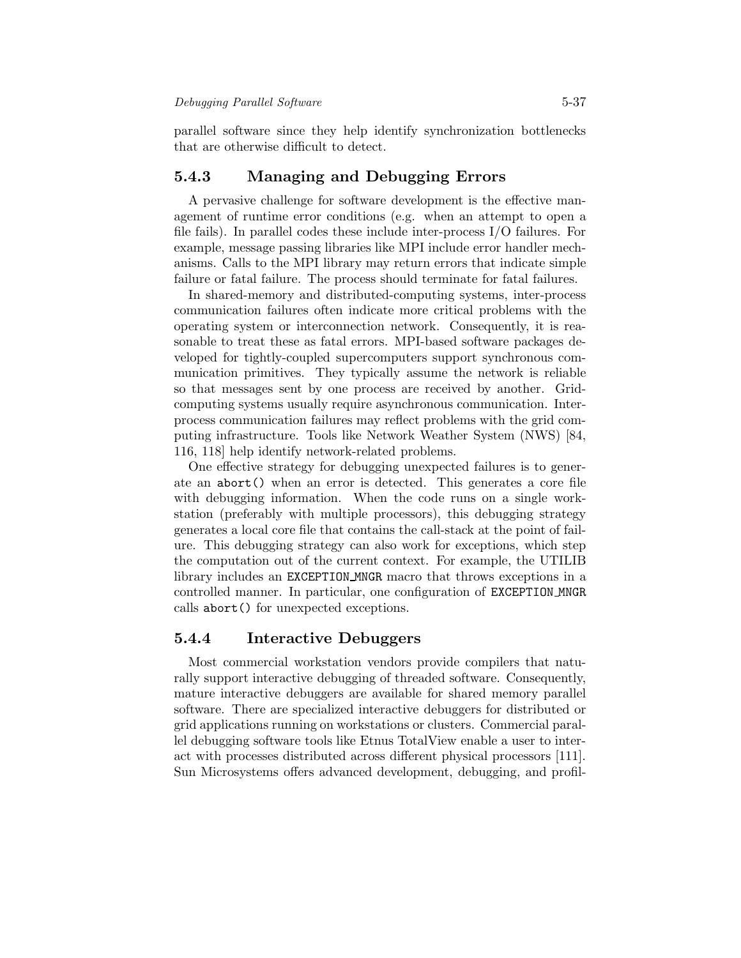parallel software since they help identify synchronization bottlenecks that are otherwise difficult to detect.

## **5.4.3 Managing and Debugging Errors**

A pervasive challenge for software development is the effective management of runtime error conditions (e.g. when an attempt to open a file fails). In parallel codes these include inter-process I/O failures. For example, message passing libraries like MPI include error handler mechanisms. Calls to the MPI library may return errors that indicate simple failure or fatal failure. The process should terminate for fatal failures.

In shared-memory and distributed-computing systems, inter-process communication failures often indicate more critical problems with the operating system or interconnection network. Consequently, it is reasonable to treat these as fatal errors. MPI-based software packages developed for tightly-coupled supercomputers support synchronous communication primitives. They typically assume the network is reliable so that messages sent by one process are received by another. Gridcomputing systems usually require asynchronous communication. Interprocess communication failures may reflect problems with the grid computing infrastructure. Tools like Network Weather System (NWS) [84, 116, 118] help identify network-related problems.

One effective strategy for debugging unexpected failures is to generate an abort() when an error is detected. This generates a core file with debugging information. When the code runs on a single workstation (preferably with multiple processors), this debugging strategy generates a local core file that contains the call-stack at the point of failure. This debugging strategy can also work for exceptions, which step the computation out of the current context. For example, the UTILIB library includes an EXCEPTION MNGR macro that throws exceptions in a controlled manner. In particular, one configuration of EXCEPTION MNGR calls abort() for unexpected exceptions.

#### **5.4.4 Interactive Debuggers**

Most commercial workstation vendors provide compilers that naturally support interactive debugging of threaded software. Consequently, mature interactive debuggers are available for shared memory parallel software. There are specialized interactive debuggers for distributed or grid applications running on workstations or clusters. Commercial parallel debugging software tools like Etnus TotalView enable a user to interact with processes distributed across different physical processors [111]. Sun Microsystems offers advanced development, debugging, and profil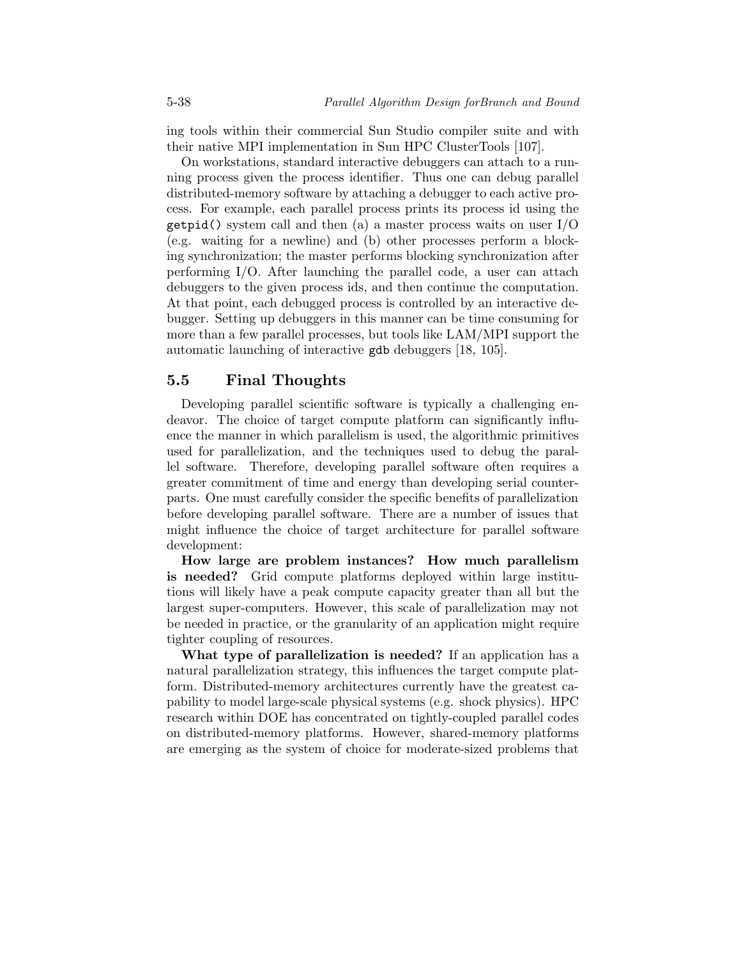ing tools within their commercial Sun Studio compiler suite and with their native MPI implementation in Sun HPC ClusterTools [107].

On workstations, standard interactive debuggers can attach to a running process given the process identifier. Thus one can debug parallel distributed-memory software by attaching a debugger to each active process. For example, each parallel process prints its process id using the  $getpid()$  system call and then (a) a master process waits on user  $I/O$ (e.g. waiting for a newline) and (b) other processes perform a blocking synchronization; the master performs blocking synchronization after performing I/O. After launching the parallel code, a user can attach debuggers to the given process ids, and then continue the computation. At that point, each debugged process is controlled by an interactive debugger. Setting up debuggers in this manner can be time consuming for more than a few parallel processes, but tools like LAM/MPI support the automatic launching of interactive gdb debuggers [18, 105].

## **5.5 Final Thoughts**

Developing parallel scientific software is typically a challenging endeavor. The choice of target compute platform can significantly influence the manner in which parallelism is used, the algorithmic primitives used for parallelization, and the techniques used to debug the parallel software. Therefore, developing parallel software often requires a greater commitment of time and energy than developing serial counterparts. One must carefully consider the specific benefits of parallelization before developing parallel software. There are a number of issues that might influence the choice of target architecture for parallel software development:

**How large are problem instances? How much parallelism is needed?** Grid compute platforms deployed within large institutions will likely have a peak compute capacity greater than all but the largest super-computers. However, this scale of parallelization may not be needed in practice, or the granularity of an application might require tighter coupling of resources.

**What type of parallelization is needed?** If an application has a natural parallelization strategy, this influences the target compute platform. Distributed-memory architectures currently have the greatest capability to model large-scale physical systems (e.g. shock physics). HPC research within DOE has concentrated on tightly-coupled parallel codes on distributed-memory platforms. However, shared-memory platforms are emerging as the system of choice for moderate-sized problems that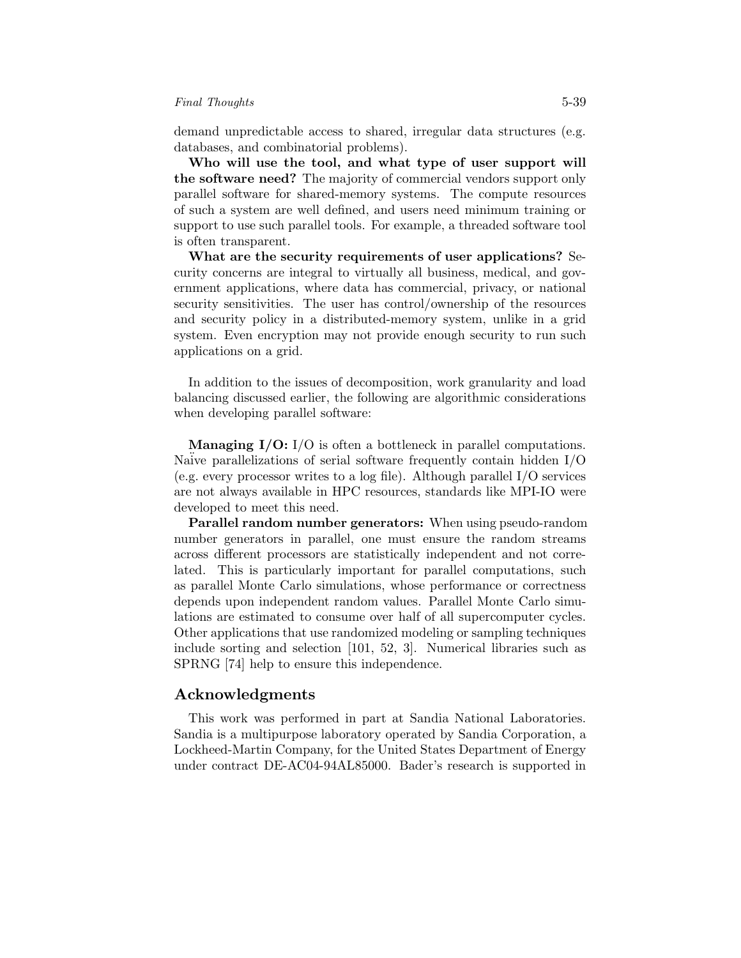demand unpredictable access to shared, irregular data structures (e.g. databases, and combinatorial problems).

**Who will use the tool, and what type of user support will the software need?** The majority of commercial vendors support only parallel software for shared-memory systems. The compute resources of such a system are well defined, and users need minimum training or support to use such parallel tools. For example, a threaded software tool is often transparent.

**What are the security requirements of user applications?** Security concerns are integral to virtually all business, medical, and government applications, where data has commercial, privacy, or national security sensitivities. The user has control/ownership of the resources and security policy in a distributed-memory system, unlike in a grid system. Even encryption may not provide enough security to run such applications on a grid.

In addition to the issues of decomposition, work granularity and load balancing discussed earlier, the following are algorithmic considerations when developing parallel software:

**Managing I/O:** I/O is often a bottleneck in parallel computations. Naive parallelizations of serial software frequently contain hidden  $I/O$ (e.g. every processor writes to a log file). Although parallel I/O services are not always available in HPC resources, standards like MPI-IO were developed to meet this need.

**Parallel random number generators:** When using pseudo-random number generators in parallel, one must ensure the random streams across different processors are statistically independent and not correlated. This is particularly important for parallel computations, such as parallel Monte Carlo simulations, whose performance or correctness depends upon independent random values. Parallel Monte Carlo simulations are estimated to consume over half of all supercomputer cycles. Other applications that use randomized modeling or sampling techniques include sorting and selection [101, 52, 3]. Numerical libraries such as SPRNG [74] help to ensure this independence.

#### **Acknowledgments**

This work was performed in part at Sandia National Laboratories. Sandia is a multipurpose laboratory operated by Sandia Corporation, a Lockheed-Martin Company, for the United States Department of Energy under contract DE-AC04-94AL85000. Bader's research is supported in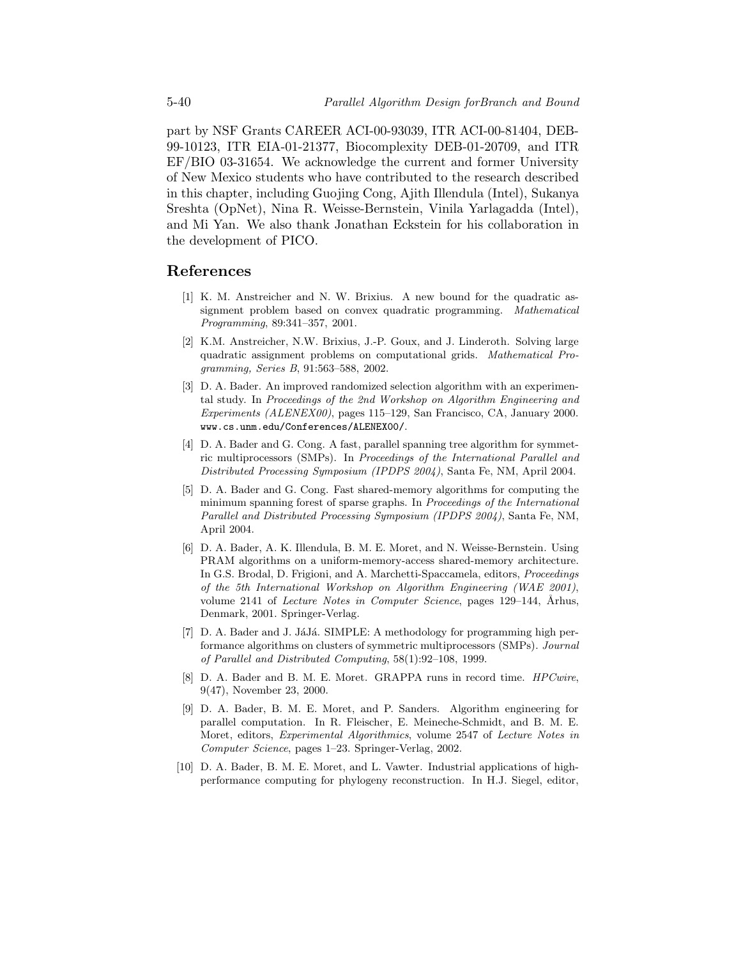part by NSF Grants CAREER ACI-00-93039, ITR ACI-00-81404, DEB-99-10123, ITR EIA-01-21377, Biocomplexity DEB-01-20709, and ITR EF/BIO 03-31654. We acknowledge the current and former University of New Mexico students who have contributed to the research described in this chapter, including Guojing Cong, Ajith Illendula (Intel), Sukanya Sreshta (OpNet), Nina R. Weisse-Bernstein, Vinila Yarlagadda (Intel), and Mi Yan. We also thank Jonathan Eckstein for his collaboration in the development of PICO.

#### **References**

- [1] K. M. Anstreicher and N. W. Brixius. A new bound for the quadratic assignment problem based on convex quadratic programming. *Mathematical Programming*, 89:341–357, 2001.
- [2] K.M. Anstreicher, N.W. Brixius, J.-P. Goux, and J. Linderoth. Solving large quadratic assignment problems on computational grids. *Mathematical Programming, Series B*, 91:563–588, 2002.
- [3] D. A. Bader. An improved randomized selection algorithm with an experimental study. In *Proceedings of the 2nd Workshop on Algorithm Engineering and Experiments (ALENEX00)*, pages 115–129, San Francisco, CA, January 2000. www.cs.unm.edu/Conferences/ALENEX00/.
- [4] D. A. Bader and G. Cong. A fast, parallel spanning tree algorithm for symmetric multiprocessors (SMPs). In *Proceedings of the International Parallel and Distributed Processing Symposium (IPDPS 2004)*, Santa Fe, NM, April 2004.
- [5] D. A. Bader and G. Cong. Fast shared-memory algorithms for computing the minimum spanning forest of sparse graphs. In *Proceedings of the International Parallel and Distributed Processing Symposium (IPDPS 2004)*, Santa Fe, NM, April 2004.
- [6] D. A. Bader, A. K. Illendula, B. M. E. Moret, and N. Weisse-Bernstein. Using PRAM algorithms on a uniform-memory-access shared-memory architecture. In G.S. Brodal, D. Frigioni, and A. Marchetti-Spaccamela, editors, *Proceedings of the 5th International Workshop on Algorithm Engineering (WAE 2001)*, volume 2141 of *Lecture Notes in Computer Science*, pages 129–144, Århus, Denmark, 2001. Springer-Verlag.
- [7] D. A. Bader and J. JáJá. SIMPLE: A methodology for programming high performance algorithms on clusters of symmetric multiprocessors (SMPs). *Journal of Parallel and Distributed Computing*, 58(1):92–108, 1999.
- [8] D. A. Bader and B. M. E. Moret. GRAPPA runs in record time. *HPCwire*, 9(47), November 23, 2000.
- [9] D. A. Bader, B. M. E. Moret, and P. Sanders. Algorithm engineering for parallel computation. In R. Fleischer, E. Meineche-Schmidt, and B. M. E. Moret, editors, *Experimental Algorithmics*, volume 2547 of *Lecture Notes in Computer Science*, pages 1–23. Springer-Verlag, 2002.
- [10] D. A. Bader, B. M. E. Moret, and L. Vawter. Industrial applications of highperformance computing for phylogeny reconstruction. In H.J. Siegel, editor,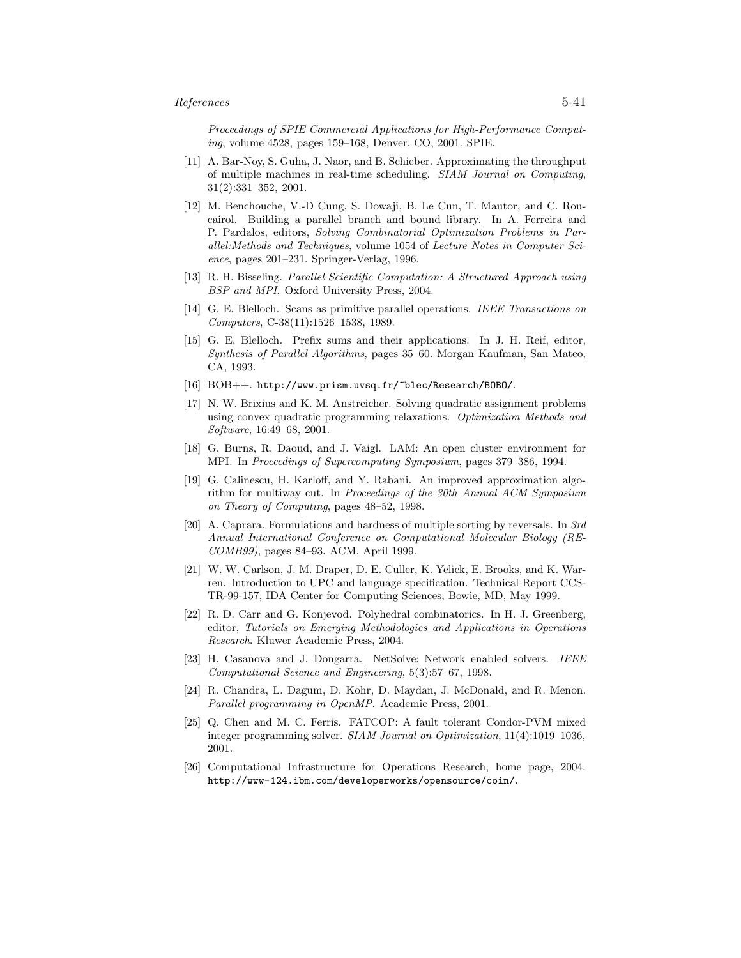*Proceedings of SPIE Commercial Applications for High-Performance Computing*, volume 4528, pages 159–168, Denver, CO, 2001. SPIE.

- [11] A. Bar-Noy, S. Guha, J. Naor, and B. Schieber. Approximating the throughput of multiple machines in real-time scheduling. *SIAM Journal on Computing*, 31(2):331–352, 2001.
- [12] M. Benchouche, V.-D Cung, S. Dowaji, B. Le Cun, T. Mautor, and C. Roucairol. Building a parallel branch and bound library. In A. Ferreira and P. Pardalos, editors, *Solving Combinatorial Optimization Problems in Parallel:Methods and Techniques*, volume 1054 of *Lecture Notes in Computer Science*, pages 201–231. Springer-Verlag, 1996.
- [13] R. H. Bisseling. *Parallel Scientific Computation: A Structured Approach using BSP and MPI*. Oxford University Press, 2004.
- [14] G. E. Blelloch. Scans as primitive parallel operations. *IEEE Transactions on Computers*, C-38(11):1526–1538, 1989.
- [15] G. E. Blelloch. Prefix sums and their applications. In J. H. Reif, editor, *Synthesis of Parallel Algorithms*, pages 35–60. Morgan Kaufman, San Mateo, CA, 1993.
- [16] BOB++. http://www.prism.uvsq.fr/~blec/Research/BOBO/.
- [17] N. W. Brixius and K. M. Anstreicher. Solving quadratic assignment problems using convex quadratic programming relaxations. *Optimization Methods and Software*, 16:49–68, 2001.
- [18] G. Burns, R. Daoud, and J. Vaigl. LAM: An open cluster environment for MPI. In *Proceedings of Supercomputing Symposium*, pages 379–386, 1994.
- [19] G. Calinescu, H. Karloff, and Y. Rabani. An improved approximation algorithm for multiway cut. In *Proceedings of the 30th Annual ACM Symposium on Theory of Computing*, pages 48–52, 1998.
- [20] A. Caprara. Formulations and hardness of multiple sorting by reversals. In *3rd Annual International Conference on Computational Molecular Biology (RE-COMB99)*, pages 84–93. ACM, April 1999.
- [21] W. W. Carlson, J. M. Draper, D. E. Culler, K. Yelick, E. Brooks, and K. Warren. Introduction to UPC and language specification. Technical Report CCS-TR-99-157, IDA Center for Computing Sciences, Bowie, MD, May 1999.
- [22] R. D. Carr and G. Konjevod. Polyhedral combinatorics. In H. J. Greenberg, editor, *Tutorials on Emerging Methodologies and Applications in Operations Research*. Kluwer Academic Press, 2004.
- [23] H. Casanova and J. Dongarra. NetSolve: Network enabled solvers. *IEEE Computational Science and Engineering*, 5(3):57–67, 1998.
- [24] R. Chandra, L. Dagum, D. Kohr, D. Maydan, J. McDonald, and R. Menon. *Parallel programming in OpenMP*. Academic Press, 2001.
- [25] Q. Chen and M. C. Ferris. FATCOP: A fault tolerant Condor-PVM mixed integer programming solver. *SIAM Journal on Optimization*, 11(4):1019–1036, 2001.
- [26] Computational Infrastructure for Operations Research, home page, 2004. http://www-124.ibm.com/developerworks/opensource/coin/.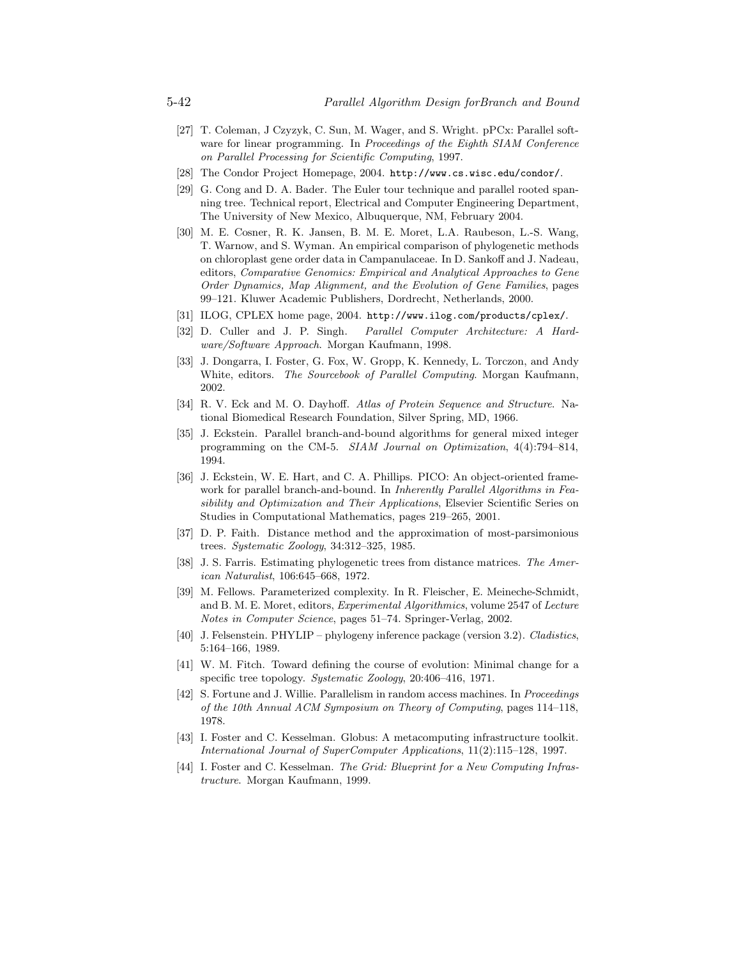- [27] T. Coleman, J Czyzyk, C. Sun, M. Wager, and S. Wright. pPCx: Parallel software for linear programming. In *Proceedings of the Eighth SIAM Conference on Parallel Processing for Scientific Computing*, 1997.
- [28] The Condor Project Homepage, 2004. http://www.cs.wisc.edu/condor/.
- [29] G. Cong and D. A. Bader. The Euler tour technique and parallel rooted spanning tree. Technical report, Electrical and Computer Engineering Department, The University of New Mexico, Albuquerque, NM, February 2004.
- [30] M. E. Cosner, R. K. Jansen, B. M. E. Moret, L.A. Raubeson, L.-S. Wang, T. Warnow, and S. Wyman. An empirical comparison of phylogenetic methods on chloroplast gene order data in Campanulaceae. In D. Sankoff and J. Nadeau, editors, *Comparative Genomics: Empirical and Analytical Approaches to Gene Order Dynamics, Map Alignment, and the Evolution of Gene Families*, pages 99–121. Kluwer Academic Publishers, Dordrecht, Netherlands, 2000.
- [31] ILOG, CPLEX home page, 2004. http://www.ilog.com/products/cplex/.
- [32] D. Culler and J. P. Singh. *Parallel Computer Architecture: A Hardware/Software Approach*. Morgan Kaufmann, 1998.
- [33] J. Dongarra, I. Foster, G. Fox, W. Gropp, K. Kennedy, L. Torczon, and Andy White, editors. *The Sourcebook of Parallel Computing*. Morgan Kaufmann, 2002.
- [34] R. V. Eck and M. O. Dayhoff. *Atlas of Protein Sequence and Structure*. National Biomedical Research Foundation, Silver Spring, MD, 1966.
- [35] J. Eckstein. Parallel branch-and-bound algorithms for general mixed integer programming on the CM-5. *SIAM Journal on Optimization*, 4(4):794–814, 1994.
- [36] J. Eckstein, W. E. Hart, and C. A. Phillips. PICO: An object-oriented framework for parallel branch-and-bound. In *Inherently Parallel Algorithms in Feasibility and Optimization and Their Applications*, Elsevier Scientific Series on Studies in Computational Mathematics, pages 219–265, 2001.
- [37] D. P. Faith. Distance method and the approximation of most-parsimonious trees. *Systematic Zoology*, 34:312–325, 1985.
- [38] J. S. Farris. Estimating phylogenetic trees from distance matrices. *The American Naturalist*, 106:645–668, 1972.
- [39] M. Fellows. Parameterized complexity. In R. Fleischer, E. Meineche-Schmidt, and B. M. E. Moret, editors, *Experimental Algorithmics*, volume 2547 of *Lecture Notes in Computer Science*, pages 51–74. Springer-Verlag, 2002.
- [40] J. Felsenstein. PHYLIP phylogeny inference package (version 3.2). *Cladistics*, 5:164–166, 1989.
- [41] W. M. Fitch. Toward defining the course of evolution: Minimal change for a specific tree topology. *Systematic Zoology*, 20:406–416, 1971.
- [42] S. Fortune and J. Willie. Parallelism in random access machines. In *Proceedings of the 10th Annual ACM Symposium on Theory of Computing*, pages 114–118, 1978.
- [43] I. Foster and C. Kesselman. Globus: A metacomputing infrastructure toolkit. *International Journal of SuperComputer Applications*, 11(2):115–128, 1997.
- [44] I. Foster and C. Kesselman. *The Grid: Blueprint for a New Computing Infrastructure*. Morgan Kaufmann, 1999.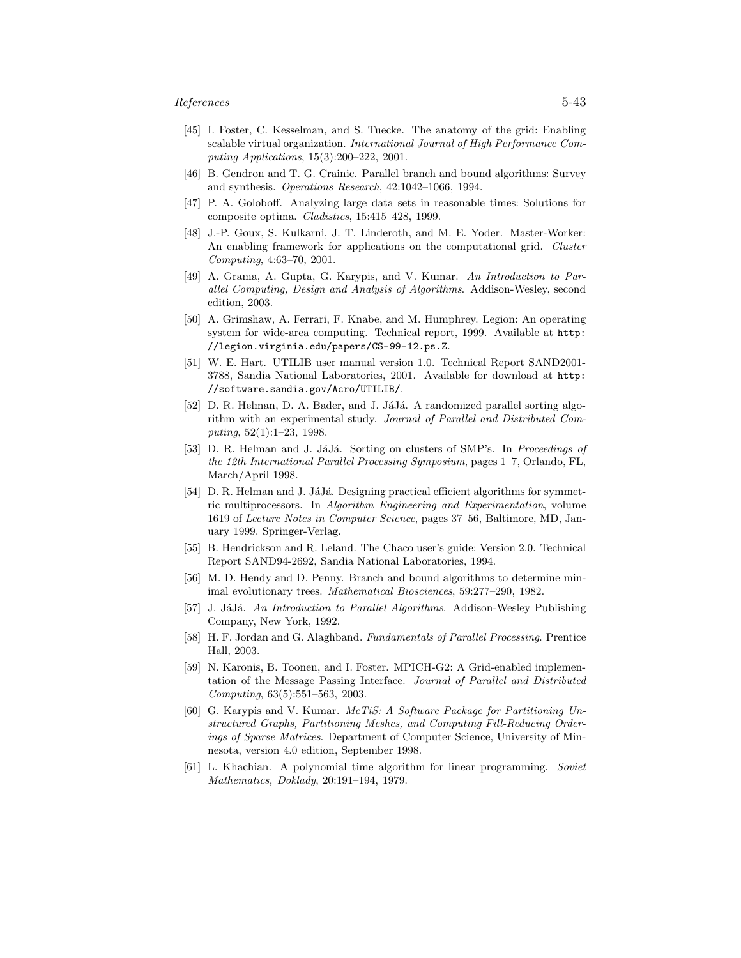#### *References* 5-43

- [45] I. Foster, C. Kesselman, and S. Tuecke. The anatomy of the grid: Enabling scalable virtual organization. *International Journal of High Performance Computing Applications*, 15(3):200–222, 2001.
- [46] B. Gendron and T. G. Crainic. Parallel branch and bound algorithms: Survey and synthesis. *Operations Research*, 42:1042–1066, 1994.
- [47] P. A. Goloboff. Analyzing large data sets in reasonable times: Solutions for composite optima. *Cladistics*, 15:415–428, 1999.
- [48] J.-P. Goux, S. Kulkarni, J. T. Linderoth, and M. E. Yoder. Master-Worker: An enabling framework for applications on the computational grid. *Cluster Computing*, 4:63–70, 2001.
- [49] A. Grama, A. Gupta, G. Karypis, and V. Kumar. *An Introduction to Parallel Computing, Design and Analysis of Algorithms*. Addison-Wesley, second edition, 2003.
- [50] A. Grimshaw, A. Ferrari, F. Knabe, and M. Humphrey. Legion: An operating system for wide-area computing. Technical report, 1999. Available at http: //legion.virginia.edu/papers/CS-99-12.ps.Z.
- [51] W. E. Hart. UTILIB user manual version 1.0. Technical Report SAND2001- 3788, Sandia National Laboratories, 2001. Available for download at http: //software.sandia.gov/Acro/UTILIB/.
- [52] D. R. Helman, D. A. Bader, and J. JáJá. A randomized parallel sorting algorithm with an experimental study. *Journal of Parallel and Distributed Computing*, 52(1):1–23, 1998.
- [53] D. R. Helman and J. JáJá. Sorting on clusters of SMP's. In *Proceedings of the 12th International Parallel Processing Symposium*, pages 1–7, Orlando, FL, March/April 1998.
- [54] D. R. Helman and J. JáJá. Designing practical efficient algorithms for symmetric multiprocessors. In *Algorithm Engineering and Experimentation*, volume 1619 of *Lecture Notes in Computer Science*, pages 37–56, Baltimore, MD, January 1999. Springer-Verlag.
- [55] B. Hendrickson and R. Leland. The Chaco user's guide: Version 2.0. Technical Report SAND94-2692, Sandia National Laboratories, 1994.
- [56] M. D. Hendy and D. Penny. Branch and bound algorithms to determine minimal evolutionary trees. *Mathematical Biosciences*, 59:277–290, 1982.
- [57] J. JáJá. *An Introduction to Parallel Algorithms*. Addison-Wesley Publishing Company, New York, 1992.
- [58] H. F. Jordan and G. Alaghband. *Fundamentals of Parallel Processing*. Prentice Hall, 2003.
- [59] N. Karonis, B. Toonen, and I. Foster. MPICH-G2: A Grid-enabled implementation of the Message Passing Interface. *Journal of Parallel and Distributed Computing*, 63(5):551–563, 2003.
- [60] G. Karypis and V. Kumar. *MeTiS: A Software Package for Partitioning Unstructured Graphs, Partitioning Meshes, and Computing Fill-Reducing Orderings of Sparse Matrices*. Department of Computer Science, University of Minnesota, version 4.0 edition, September 1998.
- [61] L. Khachian. A polynomial time algorithm for linear programming. *Soviet Mathematics, Doklady*, 20:191–194, 1979.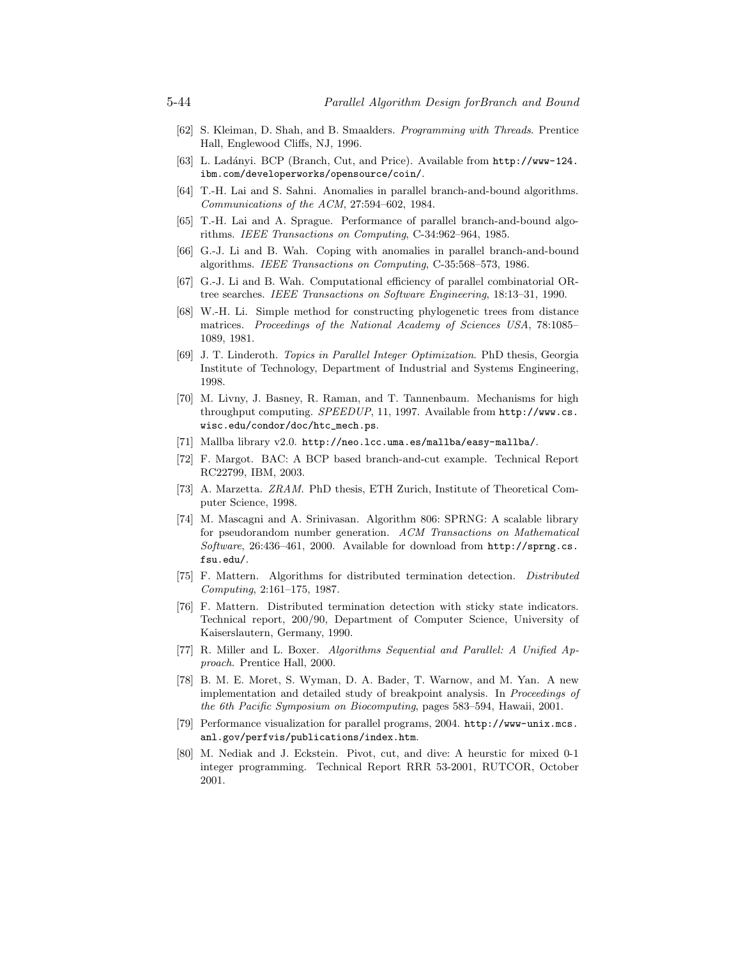- [62] S. Kleiman, D. Shah, and B. Smaalders. *Programming with Threads*. Prentice Hall, Englewood Cliffs, NJ, 1996.
- [63] L. Ladányi. BCP (Branch, Cut, and Price). Available from http://www-124. ibm.com/developerworks/opensource/coin/.
- [64] T.-H. Lai and S. Sahni. Anomalies in parallel branch-and-bound algorithms. *Communications of the ACM*, 27:594–602, 1984.
- [65] T.-H. Lai and A. Sprague. Performance of parallel branch-and-bound algorithms. *IEEE Transactions on Computing*, C-34:962–964, 1985.
- [66] G.-J. Li and B. Wah. Coping with anomalies in parallel branch-and-bound algorithms. *IEEE Transactions on Computing*, C-35:568–573, 1986.
- [67] G.-J. Li and B. Wah. Computational efficiency of parallel combinatorial ORtree searches. *IEEE Transactions on Software Engineering*, 18:13–31, 1990.
- [68] W.-H. Li. Simple method for constructing phylogenetic trees from distance matrices. *Proceedings of the National Academy of Sciences USA*, 78:1085– 1089, 1981.
- [69] J. T. Linderoth. *Topics in Parallel Integer Optimization*. PhD thesis, Georgia Institute of Technology, Department of Industrial and Systems Engineering, 1998.
- [70] M. Livny, J. Basney, R. Raman, and T. Tannenbaum. Mechanisms for high throughput computing. *SPEEDUP*, 11, 1997. Available from http://www.cs. wisc.edu/condor/doc/htc\_mech.ps.
- [71] Mallba library v2.0. http://neo.lcc.uma.es/mallba/easy-mallba/.
- [72] F. Margot. BAC: A BCP based branch-and-cut example. Technical Report RC22799, IBM, 2003.
- [73] A. Marzetta. *ZRAM*. PhD thesis, ETH Zurich, Institute of Theoretical Computer Science, 1998.
- [74] M. Mascagni and A. Srinivasan. Algorithm 806: SPRNG: A scalable library for pseudorandom number generation. *ACM Transactions on Mathematical Software*, 26:436–461, 2000. Available for download from http://sprng.cs. fsu.edu/.
- [75] F. Mattern. Algorithms for distributed termination detection. *Distributed Computing*, 2:161–175, 1987.
- [76] F. Mattern. Distributed termination detection with sticky state indicators. Technical report, 200/90, Department of Computer Science, University of Kaiserslautern, Germany, 1990.
- [77] R. Miller and L. Boxer. *Algorithms Sequential and Parallel: A Unified Approach*. Prentice Hall, 2000.
- [78] B. M. E. Moret, S. Wyman, D. A. Bader, T. Warnow, and M. Yan. A new implementation and detailed study of breakpoint analysis. In *Proceedings of the 6th Pacific Symposium on Biocomputing*, pages 583–594, Hawaii, 2001.
- [79] Performance visualization for parallel programs, 2004. http://www-unix.mcs. anl.gov/perfvis/publications/index.htm.
- [80] M. Nediak and J. Eckstein. Pivot, cut, and dive: A heurstic for mixed 0-1 integer programming. Technical Report RRR 53-2001, RUTCOR, October 2001.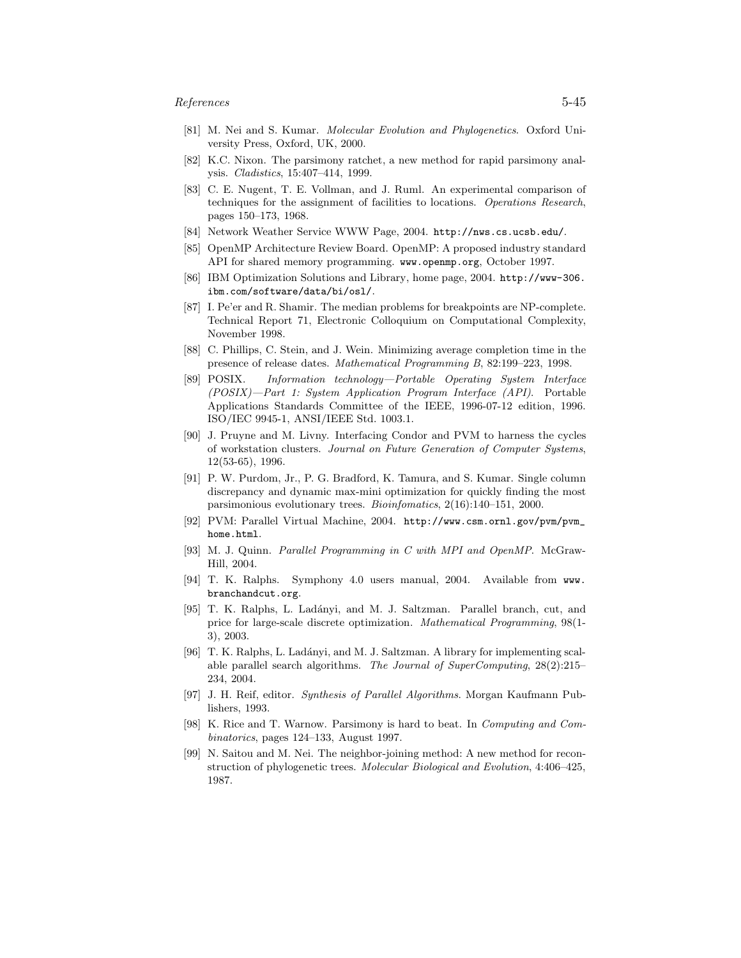#### *References* 5-45

- [81] M. Nei and S. Kumar. *Molecular Evolution and Phylogenetics*. Oxford University Press, Oxford, UK, 2000.
- [82] K.C. Nixon. The parsimony ratchet, a new method for rapid parsimony analysis. *Cladistics*, 15:407–414, 1999.
- [83] C. E. Nugent, T. E. Vollman, and J. Ruml. An experimental comparison of techniques for the assignment of facilities to locations. *Operations Research*, pages 150–173, 1968.
- [84] Network Weather Service WWW Page, 2004. http://nws.cs.ucsb.edu/.
- [85] OpenMP Architecture Review Board. OpenMP: A proposed industry standard API for shared memory programming. www.openmp.org, October 1997.
- [86] IBM Optimization Solutions and Library, home page, 2004. http://www-306. ibm.com/software/data/bi/osl/.
- [87] I. Pe'er and R. Shamir. The median problems for breakpoints are NP-complete. Technical Report 71, Electronic Colloquium on Computational Complexity, November 1998.
- [88] C. Phillips, C. Stein, and J. Wein. Minimizing average completion time in the presence of release dates. *Mathematical Programming B*, 82:199–223, 1998.
- [89] POSIX. *Information technology—Portable Operating System Interface (POSIX)—Part 1: System Application Program Interface (API)*. Portable Applications Standards Committee of the IEEE, 1996-07-12 edition, 1996. ISO/IEC 9945-1, ANSI/IEEE Std. 1003.1.
- [90] J. Pruyne and M. Livny. Interfacing Condor and PVM to harness the cycles of workstation clusters. *Journal on Future Generation of Computer Systems*, 12(53-65), 1996.
- [91] P. W. Purdom, Jr., P. G. Bradford, K. Tamura, and S. Kumar. Single column discrepancy and dynamic max-mini optimization for quickly finding the most parsimonious evolutionary trees. *Bioinfomatics*, 2(16):140–151, 2000.
- [92] PVM: Parallel Virtual Machine, 2004. http://www.csm.ornl.gov/pvm/pvm\_ home.html.
- [93] M. J. Quinn. *Parallel Programming in C with MPI and OpenMP*. McGraw-Hill, 2004.
- [94] T. K. Ralphs. Symphony 4.0 users manual, 2004. Available from www. branchandcut.org.
- [95] T. K. Ralphs, L. Lad´anyi, and M. J. Saltzman. Parallel branch, cut, and price for large-scale discrete optimization. *Mathematical Programming*, 98(1- 3), 2003.
- [96] T. K. Ralphs, L. Ladányi, and M. J. Saltzman. A library for implementing scalable parallel search algorithms. *The Journal of SuperComputing*, 28(2):215– 234, 2004.
- [97] J. H. Reif, editor. *Synthesis of Parallel Algorithms*. Morgan Kaufmann Publishers, 1993.
- [98] K. Rice and T. Warnow. Parsimony is hard to beat. In *Computing and Combinatorics*, pages 124–133, August 1997.
- [99] N. Saitou and M. Nei. The neighbor-joining method: A new method for reconstruction of phylogenetic trees. *Molecular Biological and Evolution*, 4:406–425, 1987.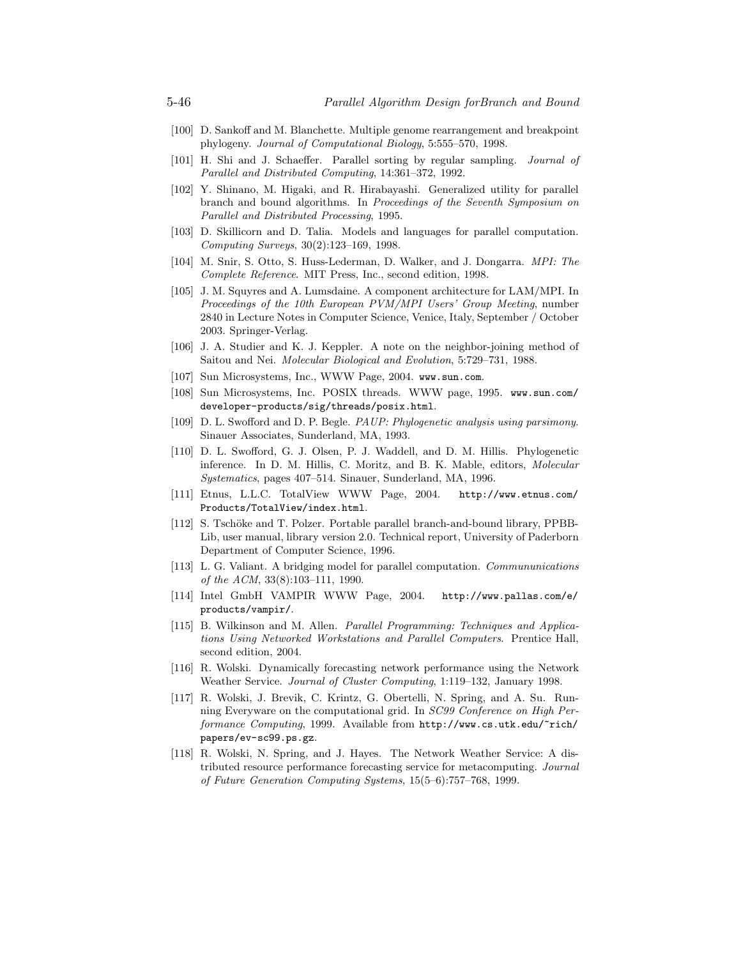- [100] D. Sankoff and M. Blanchette. Multiple genome rearrangement and breakpoint phylogeny. *Journal of Computational Biology*, 5:555–570, 1998.
- [101] H. Shi and J. Schaeffer. Parallel sorting by regular sampling. *Journal of Parallel and Distributed Computing*, 14:361–372, 1992.
- [102] Y. Shinano, M. Higaki, and R. Hirabayashi. Generalized utility for parallel branch and bound algorithms. In *Proceedings of the Seventh Symposium on Parallel and Distributed Processing*, 1995.
- [103] D. Skillicorn and D. Talia. Models and languages for parallel computation. *Computing Surveys*, 30(2):123–169, 1998.
- [104] M. Snir, S. Otto, S. Huss-Lederman, D. Walker, and J. Dongarra. *MPI: The Complete Reference*. MIT Press, Inc., second edition, 1998.
- [105] J. M. Squyres and A. Lumsdaine. A component architecture for LAM/MPI. In *Proceedings of the 10th European PVM/MPI Users' Group Meeting*, number 2840 in Lecture Notes in Computer Science, Venice, Italy, September / October 2003. Springer-Verlag.
- [106] J. A. Studier and K. J. Keppler. A note on the neighbor-joining method of Saitou and Nei. *Molecular Biological and Evolution*, 5:729–731, 1988.
- [107] Sun Microsystems, Inc., WWW Page, 2004. www.sun.com.
- [108] Sun Microsystems, Inc. POSIX threads. WWW page, 1995. www.sun.com/ developer-products/sig/threads/posix.html.
- [109] D. L. Swofford and D. P. Begle. *PAUP: Phylogenetic analysis using parsimony*. Sinauer Associates, Sunderland, MA, 1993.
- [110] D. L. Swofford, G. J. Olsen, P. J. Waddell, and D. M. Hillis. Phylogenetic inference. In D. M. Hillis, C. Moritz, and B. K. Mable, editors, *Molecular Systematics*, pages 407–514. Sinauer, Sunderland, MA, 1996.
- [111] Etnus, L.L.C. TotalView WWW Page, 2004. http://www.etnus.com/ Products/TotalView/index.html.
- [112] S. Tschöke and T. Polzer. Portable parallel branch-and-bound library, PPBB-Lib, user manual, library version 2.0. Technical report, University of Paderborn Department of Computer Science, 1996.
- [113] L. G. Valiant. A bridging model for parallel computation. *Commununications of the ACM*, 33(8):103–111, 1990.
- [114] Intel GmbH VAMPIR WWW Page, 2004. http://www.pallas.com/e/ products/vampir/.
- [115] B. Wilkinson and M. Allen. *Parallel Programming: Techniques and Applications Using Networked Workstations and Parallel Computers*. Prentice Hall, second edition, 2004.
- [116] R. Wolski. Dynamically forecasting network performance using the Network Weather Service. *Journal of Cluster Computing*, 1:119–132, January 1998.
- [117] R. Wolski, J. Brevik, C. Krintz, G. Obertelli, N. Spring, and A. Su. Running Everyware on the computational grid. In *SC99 Conference on High Performance Computing*, 1999. Available from http://www.cs.utk.edu/~rich/ papers/ev-sc99.ps.gz.
- [118] R. Wolski, N. Spring, and J. Hayes. The Network Weather Service: A distributed resource performance forecasting service for metacomputing. *Journal of Future Generation Computing Systems*, 15(5–6):757–768, 1999.